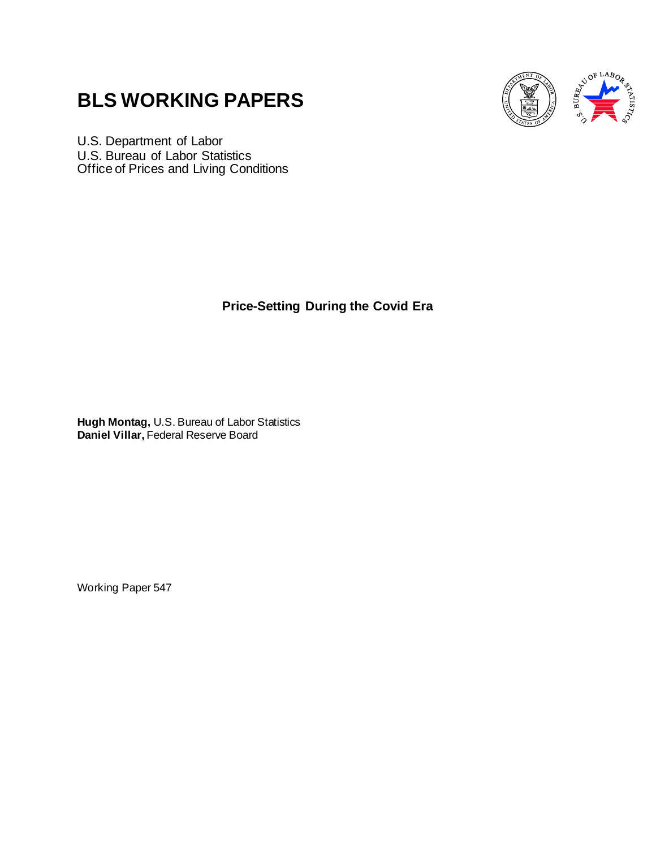# **BLS WORKING PAPERS**



U.S. Department of Labor U.S. Bureau of Labor Statistics Office of Prices and Living Conditions

**Price-Setting During the Covid Era**

**Hugh Montag,** U.S. Bureau of Labor Statistics **Daniel Villar,** Federal Reserve Board

Working Paper 547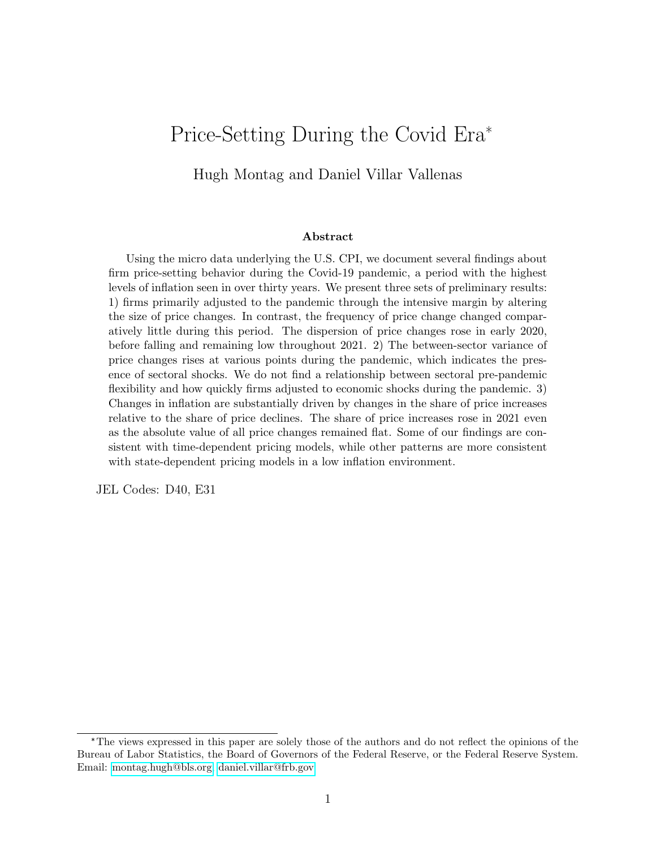# Price-Setting During the Covid Era\*

Hugh Montag and Daniel Villar Vallenas

#### Abstract

Using the micro data underlying the U.S. CPI, we document several findings about firm price-setting behavior during the Covid-19 pandemic, a period with the highest levels of inflation seen in over thirty years. We present three sets of preliminary results: 1) firms primarily adjusted to the pandemic through the intensive margin by altering the size of price changes. In contrast, the frequency of price change changed comparatively little during this period. The dispersion of price changes rose in early 2020, before falling and remaining low throughout 2021. 2) The between-sector variance of price changes rises at various points during the pandemic, which indicates the presence of sectoral shocks. We do not find a relationship between sectoral pre-pandemic flexibility and how quickly firms adjusted to economic shocks during the pandemic. 3) Changes in inflation are substantially driven by changes in the share of price increases relative to the share of price declines. The share of price increases rose in 2021 even as the absolute value of all price changes remained flat. Some of our findings are consistent with time-dependent pricing models, while other patterns are more consistent with state-dependent pricing models in a low inflation environment.

JEL Codes: D40, E31

<sup>\*</sup>The views expressed in this paper are solely those of the authors and do not reflect the opinions of the Bureau of Labor Statistics, the Board of Governors of the Federal Reserve, or the Federal Reserve System. Email: [montag.hugh@bls.org,](montag.hugh@bls.org)<daniel.villar@frb.gov>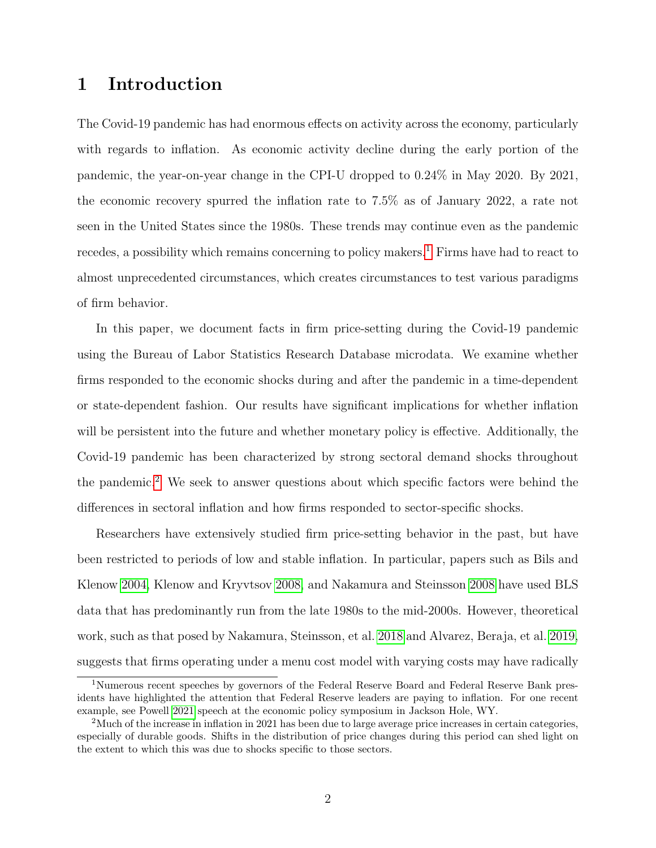# 1 Introduction

The Covid-19 pandemic has had enormous effects on activity across the economy, particularly with regards to inflation. As economic activity decline during the early portion of the pandemic, the year-on-year change in the CPI-U dropped to 0.24% in May 2020. By 2021, the economic recovery spurred the inflation rate to 7.5% as of January 2022, a rate not seen in the United States since the 1980s. These trends may continue even as the pandemic recedes, a possibility which remains concerning to policy makers.<sup>[1](#page-2-0)</sup> Firms have had to react to almost unprecedented circumstances, which creates circumstances to test various paradigms of firm behavior.

In this paper, we document facts in firm price-setting during the Covid-19 pandemic using the Bureau of Labor Statistics Research Database microdata. We examine whether firms responded to the economic shocks during and after the pandemic in a time-dependent or state-dependent fashion. Our results have significant implications for whether inflation will be persistent into the future and whether monetary policy is effective. Additionally, the Covid-19 pandemic has been characterized by strong sectoral demand shocks throughout the pandemic.[2](#page-2-1) We seek to answer questions about which specific factors were behind the differences in sectoral inflation and how firms responded to sector-specific shocks.

Researchers have extensively studied firm price-setting behavior in the past, but have been restricted to periods of low and stable inflation. In particular, papers such as Bils and Klenow [2004,](#page-22-0) Klenow and Kryvtsov [2008,](#page-23-0) and Nakamura and Steinsson [2008](#page-23-1) have used BLS data that has predominantly run from the late 1980s to the mid-2000s. However, theoretical work, such as that posed by Nakamura, Steinsson, et al. [2018](#page-24-0) and Alvarez, Beraja, et al. [2019,](#page-22-1) suggests that firms operating under a menu cost model with varying costs may have radically

<span id="page-2-0"></span><sup>1</sup>Numerous recent speeches by governors of the Federal Reserve Board and Federal Reserve Bank presidents have highlighted the attention that Federal Reserve leaders are paying to inflation. For one recent example, see Powell [2021](#page-24-1) speech at the economic policy symposium in Jackson Hole, WY.

<span id="page-2-1"></span><sup>&</sup>lt;sup>2</sup>Much of the increase in inflation in 2021 has been due to large average price increases in certain categories, especially of durable goods. Shifts in the distribution of price changes during this period can shed light on the extent to which this was due to shocks specific to those sectors.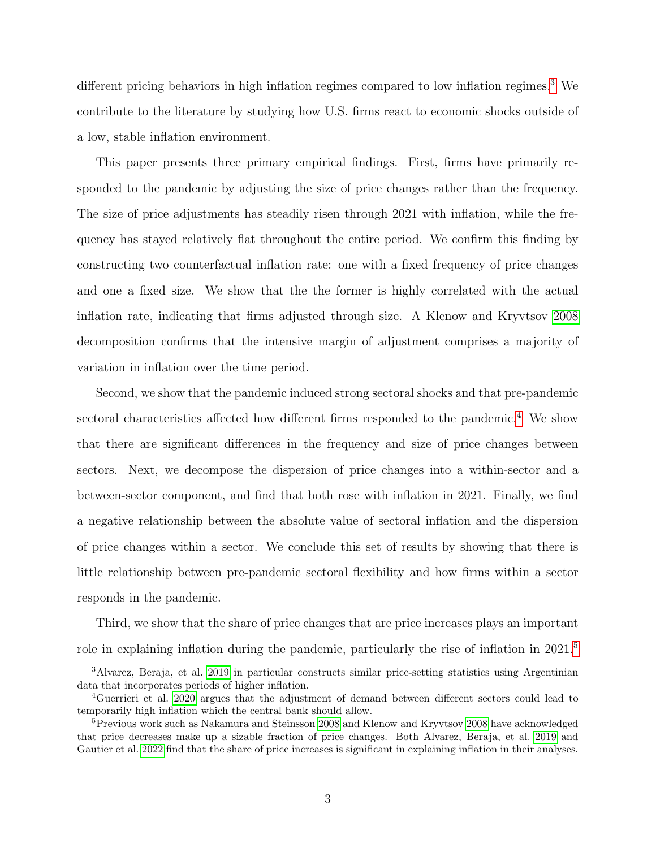different pricing behaviors in high inflation regimes compared to low inflation regimes.<sup>[3](#page-3-0)</sup> We contribute to the literature by studying how U.S. firms react to economic shocks outside of a low, stable inflation environment.

This paper presents three primary empirical findings. First, firms have primarily responded to the pandemic by adjusting the size of price changes rather than the frequency. The size of price adjustments has steadily risen through 2021 with inflation, while the frequency has stayed relatively flat throughout the entire period. We confirm this finding by constructing two counterfactual inflation rate: one with a fixed frequency of price changes and one a fixed size. We show that the the former is highly correlated with the actual inflation rate, indicating that firms adjusted through size. A Klenow and Kryvtsov [2008](#page-23-0) decomposition confirms that the intensive margin of adjustment comprises a majority of variation in inflation over the time period.

Second, we show that the pandemic induced strong sectoral shocks and that pre-pandemic sectoral characteristics affected how different firms responded to the pandemic.<sup>[4](#page-3-1)</sup> We show that there are significant differences in the frequency and size of price changes between sectors. Next, we decompose the dispersion of price changes into a within-sector and a between-sector component, and find that both rose with inflation in 2021. Finally, we find a negative relationship between the absolute value of sectoral inflation and the dispersion of price changes within a sector. We conclude this set of results by showing that there is little relationship between pre-pandemic sectoral flexibility and how firms within a sector responds in the pandemic.

Third, we show that the share of price changes that are price increases plays an important role in explaining inflation during the pandemic, particularly the rise of inflation in 2021.<sup>[5](#page-3-2)</sup>

<span id="page-3-0"></span><sup>3</sup>Alvarez, Beraja, et al. [2019](#page-22-1) in particular constructs similar price-setting statistics using Argentinian data that incorporates periods of higher inflation.

<span id="page-3-1"></span><sup>4</sup>Guerrieri et al. [2020](#page-23-2) argues that the adjustment of demand between different sectors could lead to temporarily high inflation which the central bank should allow.

<span id="page-3-2"></span><sup>&</sup>lt;sup>5</sup>Previous work such as Nakamura and Steinsson [2008](#page-23-0) and Klenow and Kryvtsov 2008 have acknowledged that price decreases make up a sizable fraction of price changes. Both Alvarez, Beraja, et al. [2019](#page-22-1) and Gautier et al. [2022](#page-23-3) find that the share of price increases is significant in explaining inflation in their analyses.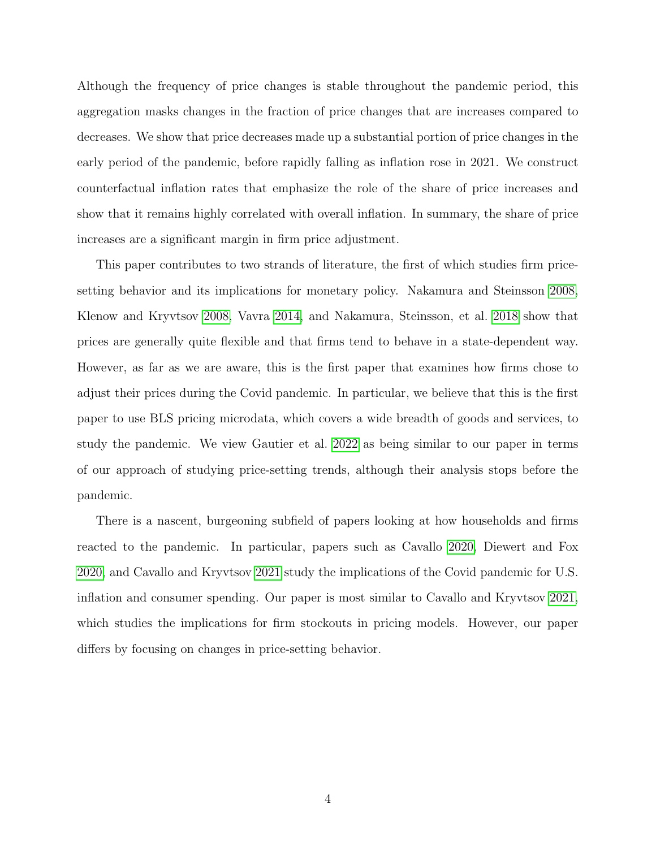Although the frequency of price changes is stable throughout the pandemic period, this aggregation masks changes in the fraction of price changes that are increases compared to decreases. We show that price decreases made up a substantial portion of price changes in the early period of the pandemic, before rapidly falling as inflation rose in 2021. We construct counterfactual inflation rates that emphasize the role of the share of price increases and show that it remains highly correlated with overall inflation. In summary, the share of price increases are a significant margin in firm price adjustment.

This paper contributes to two strands of literature, the first of which studies firm pricesetting behavior and its implications for monetary policy. Nakamura and Steinsson [2008,](#page-23-1) Klenow and Kryvtsov [2008,](#page-23-0) Vavra [2014,](#page-24-2) and Nakamura, Steinsson, et al. [2018](#page-24-0) show that prices are generally quite flexible and that firms tend to behave in a state-dependent way. However, as far as we are aware, this is the first paper that examines how firms chose to adjust their prices during the Covid pandemic. In particular, we believe that this is the first paper to use BLS pricing microdata, which covers a wide breadth of goods and services, to study the pandemic. We view Gautier et al. [2022](#page-23-3) as being similar to our paper in terms of our approach of studying price-setting trends, although their analysis stops before the pandemic.

There is a nascent, burgeoning subfield of papers looking at how households and firms reacted to the pandemic. In particular, papers such as Cavallo [2020,](#page-22-2) Diewert and Fox [2020,](#page-22-3) and Cavallo and Kryvtsov [2021](#page-22-4) study the implications of the Covid pandemic for U.S. inflation and consumer spending. Our paper is most similar to Cavallo and Kryvtsov [2021,](#page-22-4) which studies the implications for firm stockouts in pricing models. However, our paper differs by focusing on changes in price-setting behavior.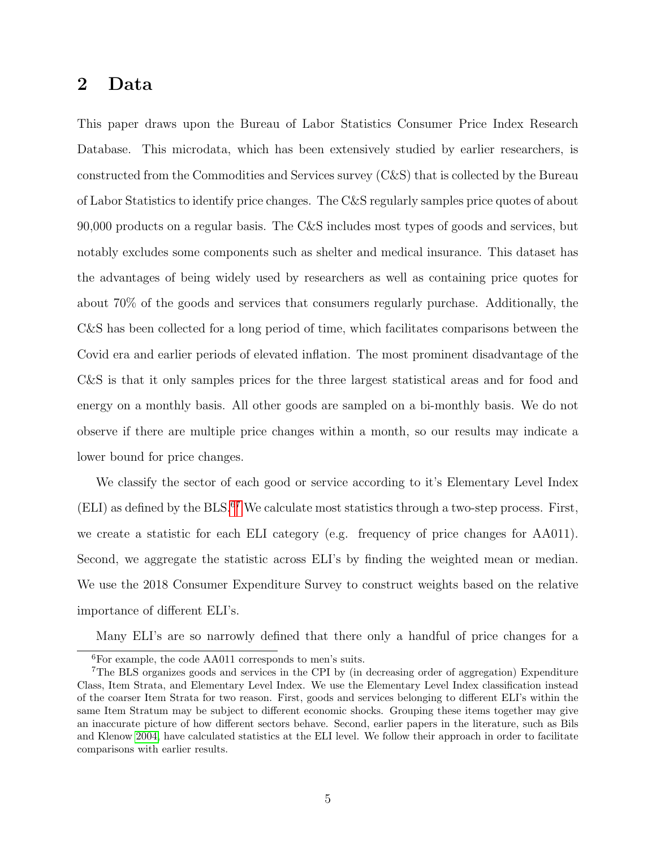### 2 Data

This paper draws upon the Bureau of Labor Statistics Consumer Price Index Research Database. This microdata, which has been extensively studied by earlier researchers, is constructed from the Commodities and Services survey (C&S) that is collected by the Bureau of Labor Statistics to identify price changes. The C&S regularly samples price quotes of about 90,000 products on a regular basis. The C&S includes most types of goods and services, but notably excludes some components such as shelter and medical insurance. This dataset has the advantages of being widely used by researchers as well as containing price quotes for about 70% of the goods and services that consumers regularly purchase. Additionally, the C&S has been collected for a long period of time, which facilitates comparisons between the Covid era and earlier periods of elevated inflation. The most prominent disadvantage of the C&S is that it only samples prices for the three largest statistical areas and for food and energy on a monthly basis. All other goods are sampled on a bi-monthly basis. We do not observe if there are multiple price changes within a month, so our results may indicate a lower bound for price changes.

We classify the sector of each good or service according to it's Elementary Level Index  $(ELI)$  as defined by the  $BLS$ .<sup>[6](#page-5-0)[7](#page-5-1)</sup> We calculate most statistics through a two-step process. First, we create a statistic for each ELI category (e.g. frequency of price changes for AA011). Second, we aggregate the statistic across ELI's by finding the weighted mean or median. We use the 2018 Consumer Expenditure Survey to construct weights based on the relative importance of different ELI's.

Many ELI's are so narrowly defined that there only a handful of price changes for a

<span id="page-5-1"></span><span id="page-5-0"></span><sup>6</sup>For example, the code AA011 corresponds to men's suits.

<sup>7</sup>The BLS organizes goods and services in the CPI by (in decreasing order of aggregation) Expenditure Class, Item Strata, and Elementary Level Index. We use the Elementary Level Index classification instead of the coarser Item Strata for two reason. First, goods and services belonging to different ELI's within the same Item Stratum may be subject to different economic shocks. Grouping these items together may give an inaccurate picture of how different sectors behave. Second, earlier papers in the literature, such as Bils and Klenow [2004,](#page-22-0) have calculated statistics at the ELI level. We follow their approach in order to facilitate comparisons with earlier results.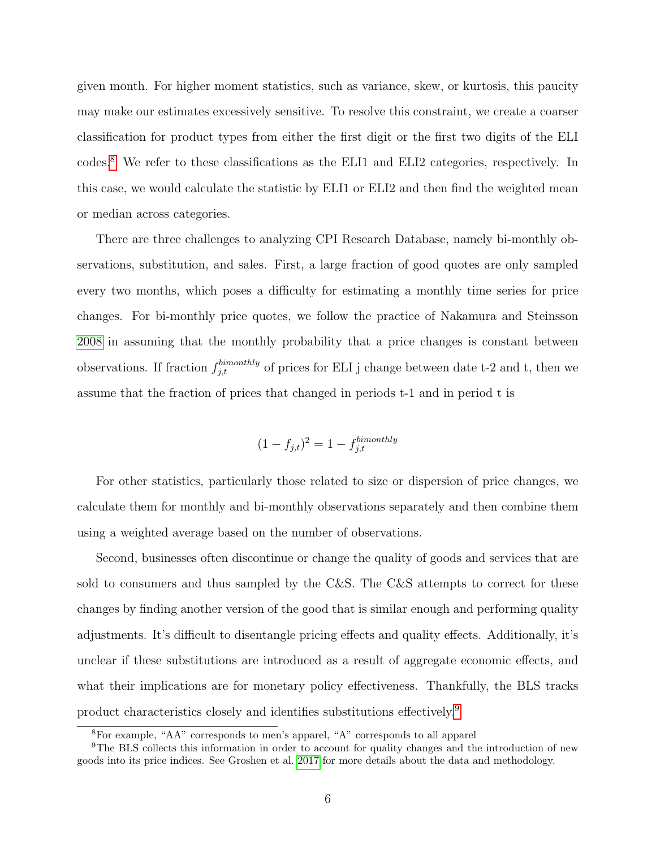given month. For higher moment statistics, such as variance, skew, or kurtosis, this paucity may make our estimates excessively sensitive. To resolve this constraint, we create a coarser classification for product types from either the first digit or the first two digits of the ELI codes.[8](#page-6-0) We refer to these classifications as the ELI1 and ELI2 categories, respectively. In this case, we would calculate the statistic by ELI1 or ELI2 and then find the weighted mean or median across categories.

There are three challenges to analyzing CPI Research Database, namely bi-monthly observations, substitution, and sales. First, a large fraction of good quotes are only sampled every two months, which poses a difficulty for estimating a monthly time series for price changes. For bi-monthly price quotes, we follow the practice of Nakamura and Steinsson [2008](#page-23-1) in assuming that the monthly probability that a price changes is constant between observations. If fraction  $f_{j,t}^{binonthly}$  of prices for ELI j change between date t-2 and t, then we assume that the fraction of prices that changed in periods t-1 and in period t is

$$
(1 - f_{j,t})^2 = 1 - f_{j,t}^{binom{bimonthly}}
$$

For other statistics, particularly those related to size or dispersion of price changes, we calculate them for monthly and bi-monthly observations separately and then combine them using a weighted average based on the number of observations.

Second, businesses often discontinue or change the quality of goods and services that are sold to consumers and thus sampled by the C&S. The C&S attempts to correct for these changes by finding another version of the good that is similar enough and performing quality adjustments. It's difficult to disentangle pricing effects and quality effects. Additionally, it's unclear if these substitutions are introduced as a result of aggregate economic effects, and what their implications are for monetary policy effectiveness. Thankfully, the BLS tracks product characteristics closely and identifies substitutions effectively.[9](#page-6-1)

<span id="page-6-1"></span><span id="page-6-0"></span><sup>8</sup>For example, "AA" corresponds to men's apparel, "A" corresponds to all apparel

<sup>9</sup>The BLS collects this information in order to account for quality changes and the introduction of new goods into its price indices. See Groshen et al. [2017](#page-23-4) for more details about the data and methodology.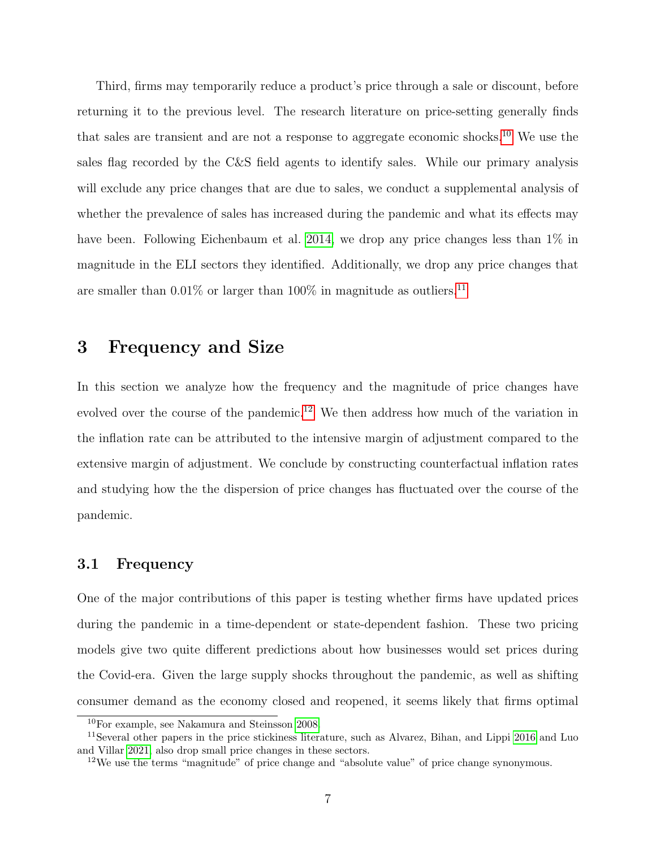Third, firms may temporarily reduce a product's price through a sale or discount, before returning it to the previous level. The research literature on price-setting generally finds that sales are transient and are not a response to aggregate economic shocks.<sup>[10](#page-7-0)</sup> We use the sales flag recorded by the C&S field agents to identify sales. While our primary analysis will exclude any price changes that are due to sales, we conduct a supplemental analysis of whether the prevalence of sales has increased during the pandemic and what its effects may have been. Following Eichenbaum et al. [2014,](#page-23-5) we drop any price changes less than  $1\%$  in magnitude in the ELI sectors they identified. Additionally, we drop any price changes that are smaller than  $0.01\%$  or larger than  $100\%$  in magnitude as outliers.<sup>[11](#page-7-1)</sup>

### 3 Frequency and Size

In this section we analyze how the frequency and the magnitude of price changes have evolved over the course of the pandemic.<sup>[12](#page-7-2)</sup> We then address how much of the variation in the inflation rate can be attributed to the intensive margin of adjustment compared to the extensive margin of adjustment. We conclude by constructing counterfactual inflation rates and studying how the the dispersion of price changes has fluctuated over the course of the pandemic.

#### 3.1 Frequency

One of the major contributions of this paper is testing whether firms have updated prices during the pandemic in a time-dependent or state-dependent fashion. These two pricing models give two quite different predictions about how businesses would set prices during the Covid-era. Given the large supply shocks throughout the pandemic, as well as shifting consumer demand as the economy closed and reopened, it seems likely that firms optimal

<span id="page-7-1"></span><span id="page-7-0"></span><sup>10</sup>For example, see Nakamura and Steinsson [2008.](#page-23-1)

<sup>11</sup>Several other papers in the price stickiness literature, such as Alvarez, Bihan, and Lippi [2016](#page-22-5) and Luo and Villar [2021,](#page-23-6) also drop small price changes in these sectors.

<span id="page-7-2"></span> $12$ We use the terms "magnitude" of price change and "absolute value" of price change synonymous.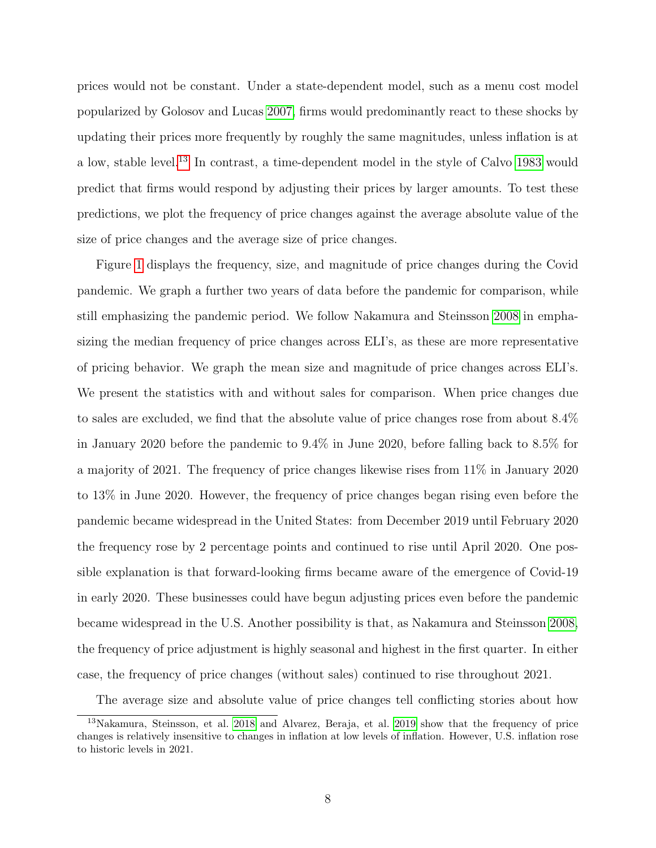prices would not be constant. Under a state-dependent model, such as a menu cost model popularized by Golosov and Lucas [2007,](#page-23-7) firms would predominantly react to these shocks by updating their prices more frequently by roughly the same magnitudes, unless inflation is at a low, stable level.[13](#page-8-0) In contrast, a time-dependent model in the style of Calvo [1983](#page-22-6) would predict that firms would respond by adjusting their prices by larger amounts. To test these predictions, we plot the frequency of price changes against the average absolute value of the size of price changes and the average size of price changes.

Figure [1](#page-29-0) displays the frequency, size, and magnitude of price changes during the Covid pandemic. We graph a further two years of data before the pandemic for comparison, while still emphasizing the pandemic period. We follow Nakamura and Steinsson [2008](#page-23-1) in emphasizing the median frequency of price changes across ELI's, as these are more representative of pricing behavior. We graph the mean size and magnitude of price changes across ELI's. We present the statistics with and without sales for comparison. When price changes due to sales are excluded, we find that the absolute value of price changes rose from about 8.4% in January 2020 before the pandemic to 9.4% in June 2020, before falling back to 8.5% for a majority of 2021. The frequency of price changes likewise rises from 11% in January 2020 to 13% in June 2020. However, the frequency of price changes began rising even before the pandemic became widespread in the United States: from December 2019 until February 2020 the frequency rose by 2 percentage points and continued to rise until April 2020. One possible explanation is that forward-looking firms became aware of the emergence of Covid-19 in early 2020. These businesses could have begun adjusting prices even before the pandemic became widespread in the U.S. Another possibility is that, as Nakamura and Steinsson [2008,](#page-23-1) the frequency of price adjustment is highly seasonal and highest in the first quarter. In either case, the frequency of price changes (without sales) continued to rise throughout 2021.

<span id="page-8-0"></span>The average size and absolute value of price changes tell conflicting stories about how

<sup>13</sup>Nakamura, Steinsson, et al. [2018](#page-24-0) and Alvarez, Beraja, et al. [2019](#page-22-1) show that the frequency of price changes is relatively insensitive to changes in inflation at low levels of inflation. However, U.S. inflation rose to historic levels in 2021.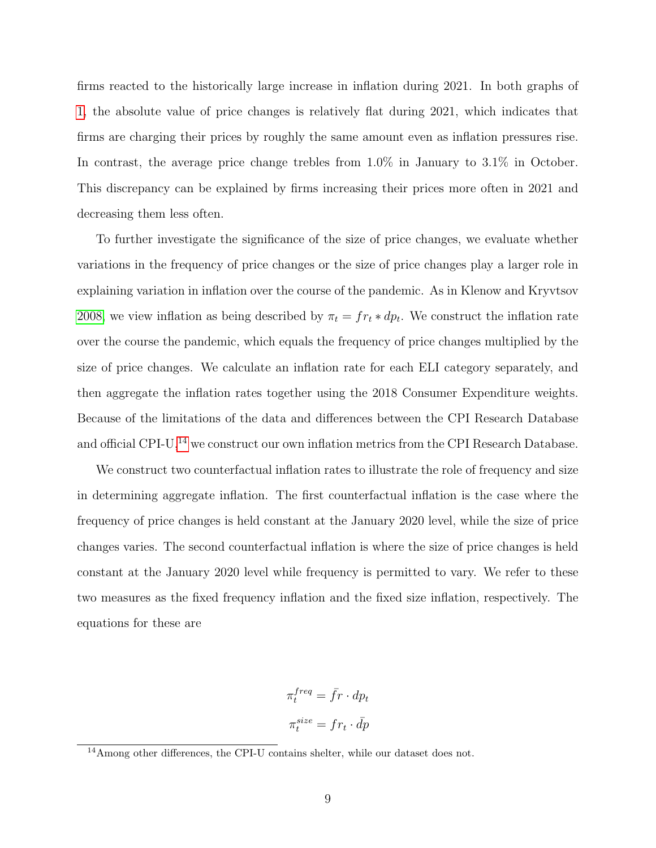firms reacted to the historically large increase in inflation during 2021. In both graphs of [1,](#page-29-0) the absolute value of price changes is relatively flat during 2021, which indicates that firms are charging their prices by roughly the same amount even as inflation pressures rise. In contrast, the average price change trebles from  $1.0\%$  in January to  $3.1\%$  in October. This discrepancy can be explained by firms increasing their prices more often in 2021 and decreasing them less often.

To further investigate the significance of the size of price changes, we evaluate whether variations in the frequency of price changes or the size of price changes play a larger role in explaining variation in inflation over the course of the pandemic. As in Klenow and Kryvtsov [2008,](#page-23-0) we view inflation as being described by  $\pi_t = fr_t * dp_t$ . We construct the inflation rate over the course the pandemic, which equals the frequency of price changes multiplied by the size of price changes. We calculate an inflation rate for each ELI category separately, and then aggregate the inflation rates together using the 2018 Consumer Expenditure weights. Because of the limitations of the data and differences between the CPI Research Database and official CPI-U,<sup>[14](#page-9-0)</sup> we construct our own inflation metrics from the CPI Research Database.

We construct two counterfactual inflation rates to illustrate the role of frequency and size in determining aggregate inflation. The first counterfactual inflation is the case where the frequency of price changes is held constant at the January 2020 level, while the size of price changes varies. The second counterfactual inflation is where the size of price changes is held constant at the January 2020 level while frequency is permitted to vary. We refer to these two measures as the fixed frequency inflation and the fixed size inflation, respectively. The equations for these are

$$
\pi_t^{freq} = \bar{f}r \cdot dp_t
$$

$$
\pi_t^{size} = fr_t \cdot \bar{dp}
$$

<span id="page-9-0"></span><sup>&</sup>lt;sup>14</sup>Among other differences, the CPI-U contains shelter, while our dataset does not.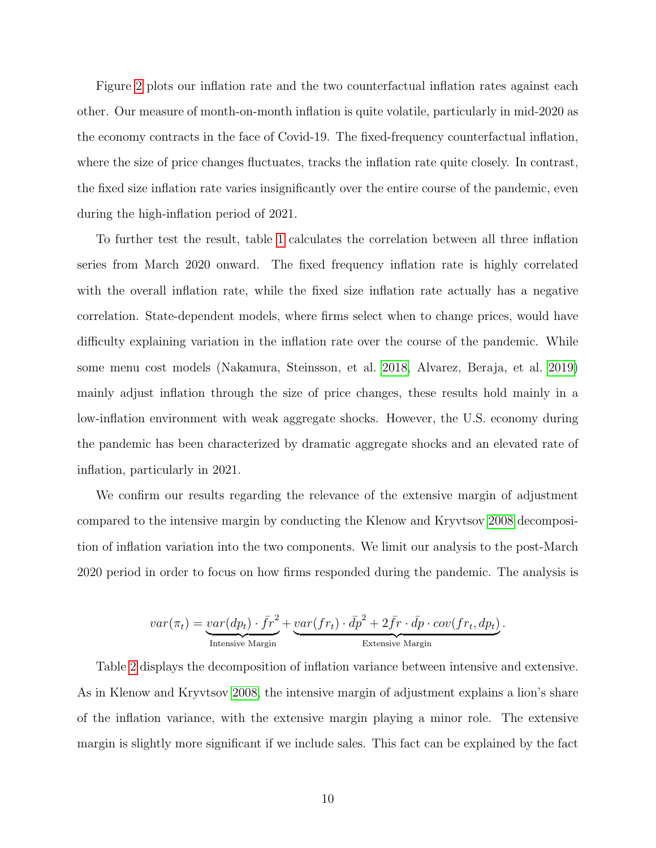Figure [2](#page-30-0) plots our inflation rate and the two counterfactual inflation rates against each other. Our measure of month-on-month inflation is quite volatile, particularly in mid-2020 as the economy contracts in the face of Covid-19. The fixed-frequency counterfactual inflation, where the size of price changes fluctuates, tracks the inflation rate quite closely. In contrast, the fixed size inflation rate varies insignificantly over the entire course of the pandemic, even during the high-inflation period of 2021.

To further test the result, table [1](#page-25-0) calculates the correlation between all three inflation series from March 2020 onward. The fixed frequency inflation rate is highly correlated with the overall inflation rate, while the fixed size inflation rate actually has a negative correlation. State-dependent models, where firms select when to change prices, would have difficulty explaining variation in the inflation rate over the course of the pandemic. While some menu cost models (Nakamura, Steinsson, et al. [2018,](#page-24-0) Alvarez, Beraja, et al. [2019\)](#page-22-1) mainly adjust inflation through the size of price changes, these results hold mainly in a low-inflation environment with weak aggregate shocks. However, the U.S. economy during the pandemic has been characterized by dramatic aggregate shocks and an elevated rate of inflation, particularly in 2021.

We confirm our results regarding the relevance of the extensive margin of adjustment compared to the intensive margin by conducting the Klenow and Kryvtsov [2008](#page-23-0) decomposition of inflation variation into the two components. We limit our analysis to the post-March 2020 period in order to focus on how firms responded during the pandemic. The analysis is

$$
var(\pi_t) = \underbrace{var(dp_t) \cdot \bar{fr}^2}_{\text{Intensive Margin}} + \underbrace{var(fr_t) \cdot d\bar{p}^2 + 2\bar{f}r \cdot d\bar{p} \cdot cov(fr_t, dp_t)}_{\text{Extensive Margin}}.
$$

Table [2](#page-25-1) displays the decomposition of inflation variance between intensive and extensive. As in Klenow and Kryvtsov [2008,](#page-23-0) the intensive margin of adjustment explains a lion's share of the inflation variance, with the extensive margin playing a minor role. The extensive margin is slightly more significant if we include sales. This fact can be explained by the fact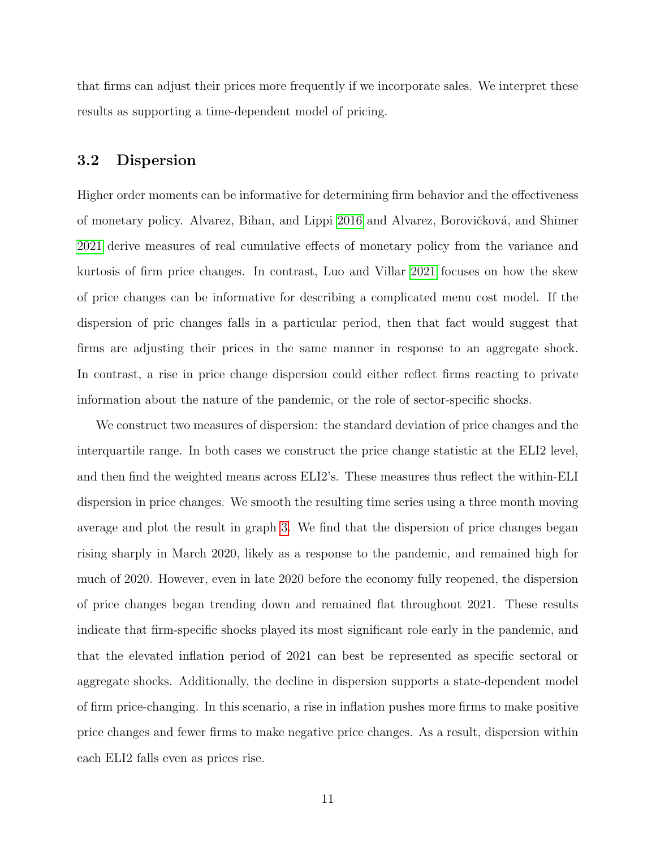that firms can adjust their prices more frequently if we incorporate sales. We interpret these results as supporting a time-dependent model of pricing.

#### 3.2 Dispersion

Higher order moments can be informative for determining firm behavior and the effectiveness of monetary policy. Alvarez, Bihan, and Lippi [2016](#page-22-5) and Alvarez, Borovičková, and Shimer [2021](#page-22-7) derive measures of real cumulative effects of monetary policy from the variance and kurtosis of firm price changes. In contrast, Luo and Villar [2021](#page-23-6) focuses on how the skew of price changes can be informative for describing a complicated menu cost model. If the dispersion of pric changes falls in a particular period, then that fact would suggest that firms are adjusting their prices in the same manner in response to an aggregate shock. In contrast, a rise in price change dispersion could either reflect firms reacting to private information about the nature of the pandemic, or the role of sector-specific shocks.

We construct two measures of dispersion: the standard deviation of price changes and the interquartile range. In both cases we construct the price change statistic at the ELI2 level, and then find the weighted means across ELI2's. These measures thus reflect the within-ELI dispersion in price changes. We smooth the resulting time series using a three month moving average and plot the result in graph [3.](#page-31-0) We find that the dispersion of price changes began rising sharply in March 2020, likely as a response to the pandemic, and remained high for much of 2020. However, even in late 2020 before the economy fully reopened, the dispersion of price changes began trending down and remained flat throughout 2021. These results indicate that firm-specific shocks played its most significant role early in the pandemic, and that the elevated inflation period of 2021 can best be represented as specific sectoral or aggregate shocks. Additionally, the decline in dispersion supports a state-dependent model of firm price-changing. In this scenario, a rise in inflation pushes more firms to make positive price changes and fewer firms to make negative price changes. As a result, dispersion within each ELI2 falls even as prices rise.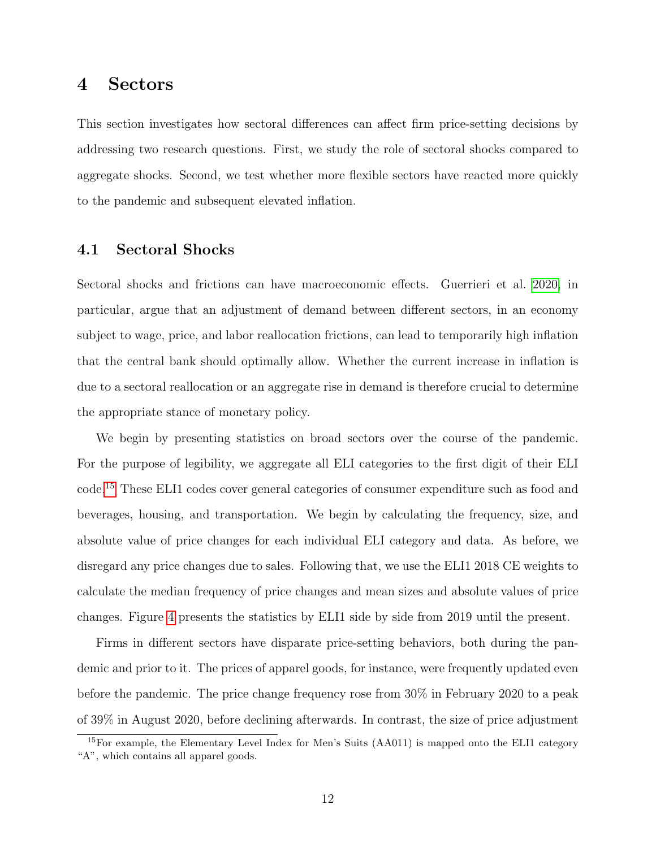### 4 Sectors

This section investigates how sectoral differences can affect firm price-setting decisions by addressing two research questions. First, we study the role of sectoral shocks compared to aggregate shocks. Second, we test whether more flexible sectors have reacted more quickly to the pandemic and subsequent elevated inflation.

#### 4.1 Sectoral Shocks

Sectoral shocks and frictions can have macroeconomic effects. Guerrieri et al. [2020,](#page-23-2) in particular, argue that an adjustment of demand between different sectors, in an economy subject to wage, price, and labor reallocation frictions, can lead to temporarily high inflation that the central bank should optimally allow. Whether the current increase in inflation is due to a sectoral reallocation or an aggregate rise in demand is therefore crucial to determine the appropriate stance of monetary policy.

We begin by presenting statistics on broad sectors over the course of the pandemic. For the purpose of legibility, we aggregate all ELI categories to the first digit of their ELI code.[15](#page-12-0) These ELI1 codes cover general categories of consumer expenditure such as food and beverages, housing, and transportation. We begin by calculating the frequency, size, and absolute value of price changes for each individual ELI category and data. As before, we disregard any price changes due to sales. Following that, we use the ELI1 2018 CE weights to calculate the median frequency of price changes and mean sizes and absolute values of price changes. Figure [4](#page-32-0) presents the statistics by ELI1 side by side from 2019 until the present.

Firms in different sectors have disparate price-setting behaviors, both during the pandemic and prior to it. The prices of apparel goods, for instance, were frequently updated even before the pandemic. The price change frequency rose from 30% in February 2020 to a peak of 39% in August 2020, before declining afterwards. In contrast, the size of price adjustment

<span id="page-12-0"></span><sup>&</sup>lt;sup>15</sup>For example, the Elementary Level Index for Men's Suits (AA011) is mapped onto the ELI1 category "A", which contains all apparel goods.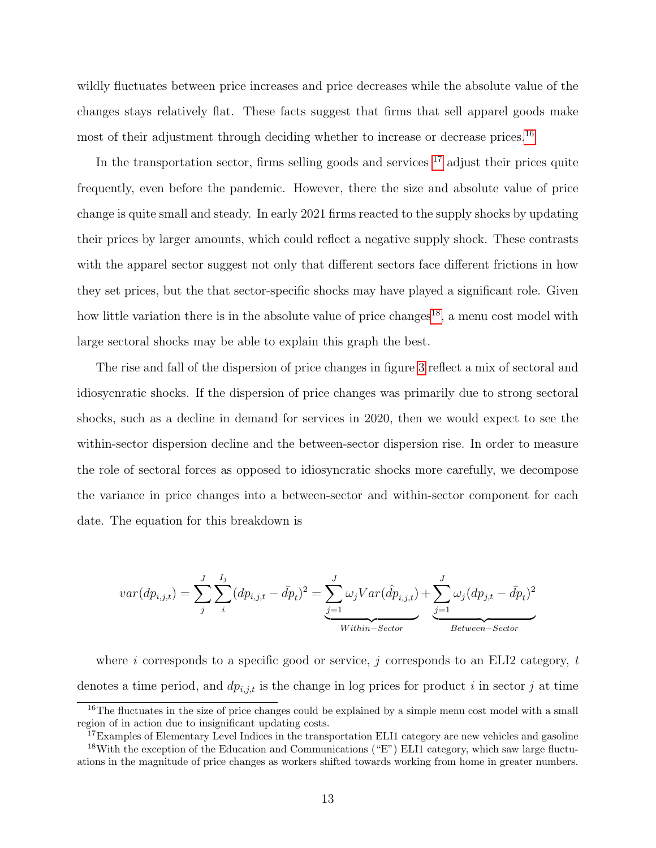wildly fluctuates between price increases and price decreases while the absolute value of the changes stays relatively flat. These facts suggest that firms that sell apparel goods make most of their adjustment through deciding whether to increase or decrease prices.<sup>[16](#page-13-0)</sup>

In the transportation sector, firms selling goods and services  $17$  adjust their prices quite frequently, even before the pandemic. However, there the size and absolute value of price change is quite small and steady. In early 2021 firms reacted to the supply shocks by updating their prices by larger amounts, which could reflect a negative supply shock. These contrasts with the apparel sector suggest not only that different sectors face different frictions in how they set prices, but the that sector-specific shocks may have played a significant role. Given how little variation there is in the absolute value of price changes<sup>[18](#page-13-2)</sup>, a menu cost model with large sectoral shocks may be able to explain this graph the best.

The rise and fall of the dispersion of price changes in figure [3](#page-31-0) reflect a mix of sectoral and idiosycnratic shocks. If the dispersion of price changes was primarily due to strong sectoral shocks, such as a decline in demand for services in 2020, then we would expect to see the within-sector dispersion decline and the between-sector dispersion rise. In order to measure the role of sectoral forces as opposed to idiosyncratic shocks more carefully, we decompose the variance in price changes into a between-sector and within-sector component for each date. The equation for this breakdown is

$$
var(dp_{i,j,t}) = \sum_{j}^{J} \sum_{i}^{I_j} (dp_{i,j,t} - \bar{dp}_t)^2 = \underbrace{\sum_{j=1}^{J} \omega_j Var(\hat{dp}_{i,j,t})}_{Within-Section} + \underbrace{\sum_{j=1}^{J} \omega_j (dp_{j,t} - \bar{dp}_t)^2}_{Between-Section}
$$

where i corresponds to a specific good or service,  $j$  corresponds to an ELI2 category, t denotes a time period, and  $dp_{i,j,t}$  is the change in log prices for product i in sector j at time

<span id="page-13-0"></span><sup>&</sup>lt;sup>16</sup>The fluctuates in the size of price changes could be explained by a simple menu cost model with a small region of in action due to insignificant updating costs.

<span id="page-13-2"></span><span id="page-13-1"></span><sup>&</sup>lt;sup>17</sup>Examples of Elementary Level Indices in the transportation ELI1 category are new vehicles and gasoline

<sup>18</sup>With the exception of the Education and Communications ("E") ELI1 category, which saw large fluctuations in the magnitude of price changes as workers shifted towards working from home in greater numbers.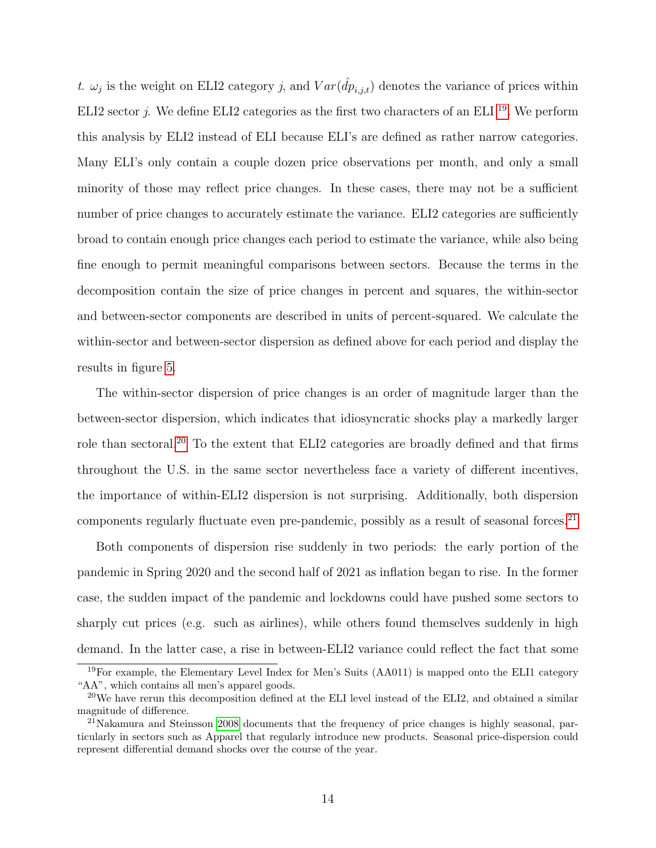t.  $\omega_j$  is the weight on ELI2 category j, and  $Var(\hat{dp}_{i,j,t})$  denotes the variance of prices within ELI2 sector *j*. We define ELI2 categories as the first two characters of an ELI  $^{19}$  $^{19}$  $^{19}$ . We perform this analysis by ELI2 instead of ELI because ELI's are defined as rather narrow categories. Many ELI's only contain a couple dozen price observations per month, and only a small minority of those may reflect price changes. In these cases, there may not be a sufficient number of price changes to accurately estimate the variance. ELI2 categories are sufficiently broad to contain enough price changes each period to estimate the variance, while also being fine enough to permit meaningful comparisons between sectors. Because the terms in the decomposition contain the size of price changes in percent and squares, the within-sector and between-sector components are described in units of percent-squared. We calculate the within-sector and between-sector dispersion as defined above for each period and display the results in figure [5.](#page-33-0)

The within-sector dispersion of price changes is an order of magnitude larger than the between-sector dispersion, which indicates that idiosyncratic shocks play a markedly larger role than sectoral.[20](#page-14-1) To the extent that ELI2 categories are broadly defined and that firms throughout the U.S. in the same sector nevertheless face a variety of different incentives, the importance of within-ELI2 dispersion is not surprising. Additionally, both dispersion components regularly fluctuate even pre-pandemic, possibly as a result of seasonal forces.<sup>[21](#page-14-2)</sup>

Both components of dispersion rise suddenly in two periods: the early portion of the pandemic in Spring 2020 and the second half of 2021 as inflation began to rise. In the former case, the sudden impact of the pandemic and lockdowns could have pushed some sectors to sharply cut prices (e.g. such as airlines), while others found themselves suddenly in high demand. In the latter case, a rise in between-ELI2 variance could reflect the fact that some

<span id="page-14-0"></span><sup>&</sup>lt;sup>19</sup>For example, the Elementary Level Index for Men's Suits (AA011) is mapped onto the ELI1 category "AA", which contains all men's apparel goods.

<span id="page-14-1"></span><sup>&</sup>lt;sup>20</sup>We have rerun this decomposition defined at the ELI level instead of the ELI2, and obtained a similar magnitude of difference.

<span id="page-14-2"></span><sup>&</sup>lt;sup>21</sup>Nakamura and Steinsson [2008](#page-23-1) documents that the frequency of price changes is highly seasonal, particularly in sectors such as Apparel that regularly introduce new products. Seasonal price-dispersion could represent differential demand shocks over the course of the year.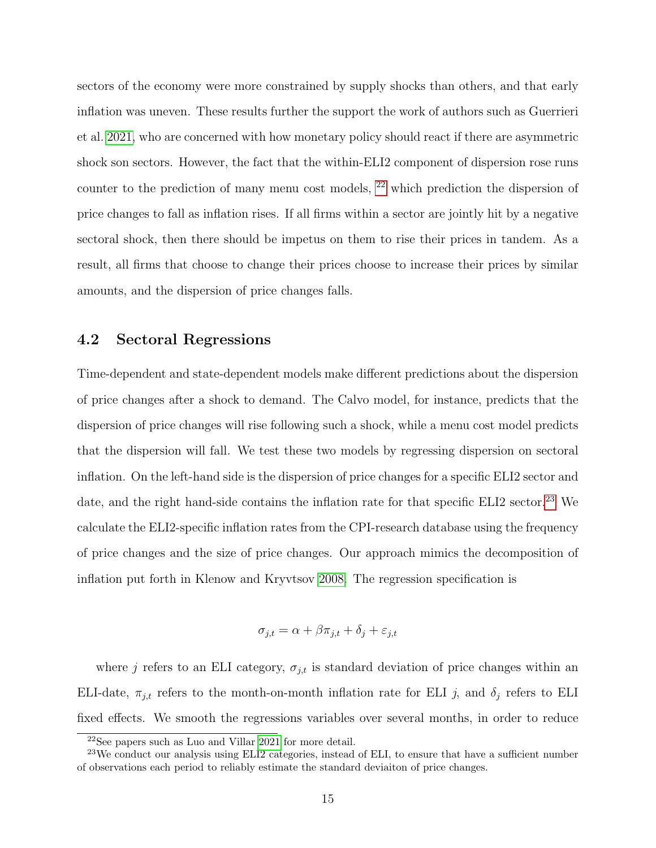sectors of the economy were more constrained by supply shocks than others, and that early inflation was uneven. These results further the support the work of authors such as Guerrieri et al. [2021,](#page-23-8) who are concerned with how monetary policy should react if there are asymmetric shock son sectors. However, the fact that the within-ELI2 component of dispersion rose runs counter to the prediction of many menu cost models, [22](#page-15-0) which prediction the dispersion of price changes to fall as inflation rises. If all firms within a sector are jointly hit by a negative sectoral shock, then there should be impetus on them to rise their prices in tandem. As a result, all firms that choose to change their prices choose to increase their prices by similar amounts, and the dispersion of price changes falls.

#### 4.2 Sectoral Regressions

Time-dependent and state-dependent models make different predictions about the dispersion of price changes after a shock to demand. The Calvo model, for instance, predicts that the dispersion of price changes will rise following such a shock, while a menu cost model predicts that the dispersion will fall. We test these two models by regressing dispersion on sectoral inflation. On the left-hand side is the dispersion of price changes for a specific ELI2 sector and date, and the right hand-side contains the inflation rate for that specific ELI2 sector.<sup>[23](#page-15-1)</sup> We calculate the ELI2-specific inflation rates from the CPI-research database using the frequency of price changes and the size of price changes. Our approach mimics the decomposition of inflation put forth in Klenow and Kryvtsov [2008.](#page-23-0) The regression specification is

$$
\sigma_{j,t} = \alpha + \beta \pi_{j,t} + \delta_j + \varepsilon_{j,t}
$$

where j refers to an ELI category,  $\sigma_{j,t}$  is standard deviation of price changes within an ELI-date,  $\pi_{j,t}$  refers to the month-on-month inflation rate for ELI j, and  $\delta_j$  refers to ELI fixed effects. We smooth the regressions variables over several months, in order to reduce

<span id="page-15-1"></span><span id="page-15-0"></span><sup>22</sup>See papers such as Luo and Villar [2021](#page-23-6) for more detail.

<sup>&</sup>lt;sup>23</sup>We conduct our analysis using ELI2 categories, instead of ELI, to ensure that have a sufficient number of observations each period to reliably estimate the standard deviaiton of price changes.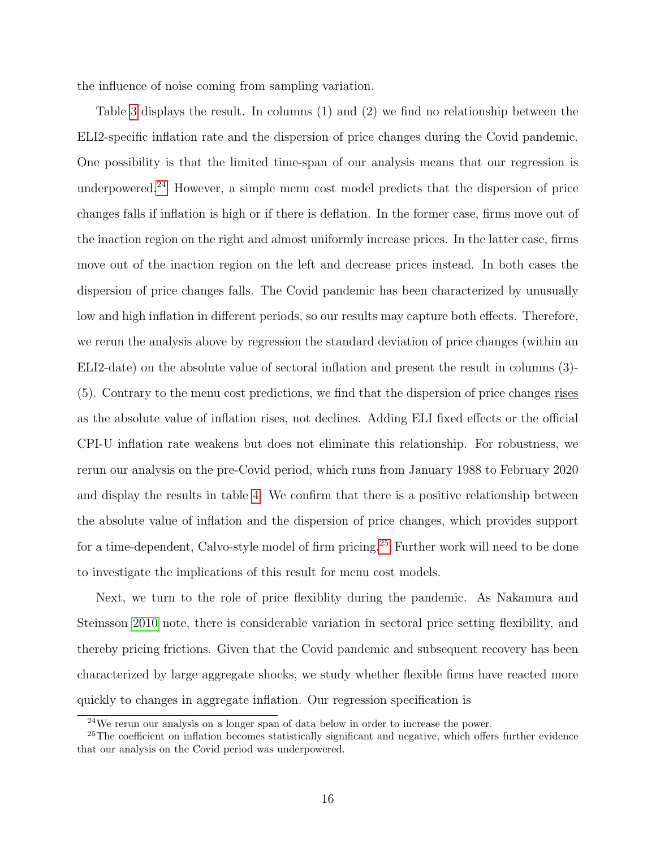the influence of noise coming from sampling variation.

Table [3](#page-26-0) displays the result. In columns (1) and (2) we find no relationship between the ELI2-specific inflation rate and the dispersion of price changes during the Covid pandemic. One possibility is that the limited time-span of our analysis means that our regression is underpowered.[24](#page-16-0) However, a simple menu cost model predicts that the dispersion of price changes falls if inflation is high or if there is deflation. In the former case, firms move out of the inaction region on the right and almost uniformly increase prices. In the latter case, firms move out of the inaction region on the left and decrease prices instead. In both cases the dispersion of price changes falls. The Covid pandemic has been characterized by unusually low and high inflation in different periods, so our results may capture both effects. Therefore, we rerun the analysis above by regression the standard deviation of price changes (within an ELI2-date) on the absolute value of sectoral inflation and present the result in columns (3)- (5). Contrary to the menu cost predictions, we find that the dispersion of price changes rises as the absolute value of inflation rises, not declines. Adding ELI fixed effects or the official CPI-U inflation rate weakens but does not eliminate this relationship. For robustness, we rerun our analysis on the pre-Covid period, which runs from January 1988 to February 2020 and display the results in table [4.](#page-27-0) We confirm that there is a positive relationship between the absolute value of inflation and the dispersion of price changes, which provides support for a time-dependent, Calvo-style model of firm pricing.[25](#page-16-1) Further work will need to be done to investigate the implications of this result for menu cost models.

Next, we turn to the role of price flexiblity during the pandemic. As Nakamura and Steinsson [2010](#page-24-3) note, there is considerable variation in sectoral price setting flexibility, and thereby pricing frictions. Given that the Covid pandemic and subsequent recovery has been characterized by large aggregate shocks, we study whether flexible firms have reacted more quickly to changes in aggregate inflation. Our regression specification is

<span id="page-16-1"></span><span id="page-16-0"></span><sup>24</sup>We rerun our analysis on a longer span of data below in order to increase the power.

<sup>&</sup>lt;sup>25</sup>The coefficient on inflation becomes statistically significant and negative, which offers further evidence that our analysis on the Covid period was underpowered.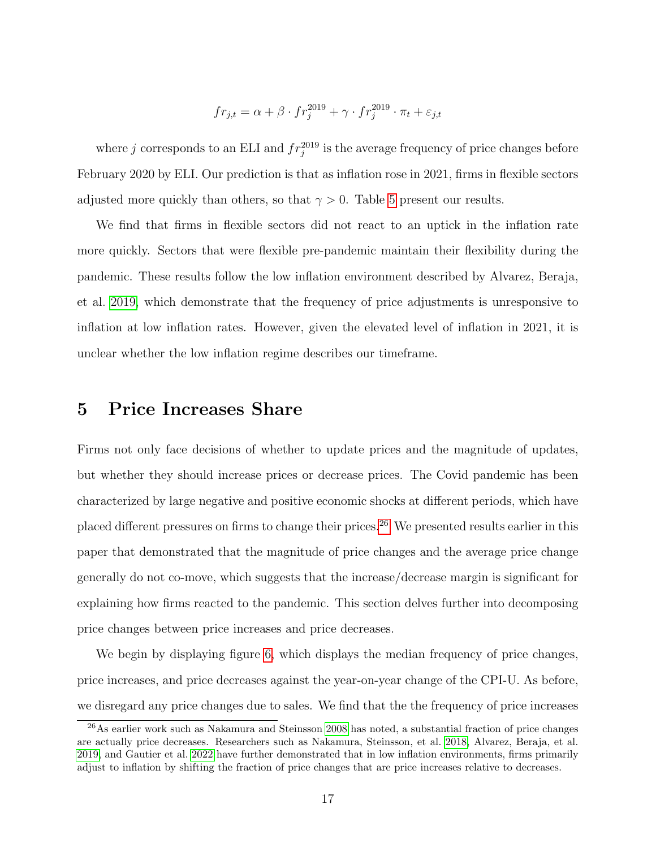$$
fr_{j,t} = \alpha + \beta \cdot fr_j^{2019} + \gamma \cdot fr_j^{2019} \cdot \pi_t + \varepsilon_{j,t}
$$

where j corresponds to an ELI and  $fr_j^{2019}$  is the average frequency of price changes before February 2020 by ELI. Our prediction is that as inflation rose in 2021, firms in flexible sectors adjusted more quickly than others, so that  $\gamma > 0$ . Table [5](#page-28-0) present our results.

We find that firms in flexible sectors did not react to an uptick in the inflation rate more quickly. Sectors that were flexible pre-pandemic maintain their flexibility during the pandemic. These results follow the low inflation environment described by Alvarez, Beraja, et al. [2019,](#page-22-1) which demonstrate that the frequency of price adjustments is unresponsive to inflation at low inflation rates. However, given the elevated level of inflation in 2021, it is unclear whether the low inflation regime describes our timeframe.

### 5 Price Increases Share

Firms not only face decisions of whether to update prices and the magnitude of updates, but whether they should increase prices or decrease prices. The Covid pandemic has been characterized by large negative and positive economic shocks at different periods, which have placed different pressures on firms to change their prices.[26](#page-17-0) We presented results earlier in this paper that demonstrated that the magnitude of price changes and the average price change generally do not co-move, which suggests that the increase/decrease margin is significant for explaining how firms reacted to the pandemic. This section delves further into decomposing price changes between price increases and price decreases.

We begin by displaying figure [6,](#page-34-0) which displays the median frequency of price changes, price increases, and price decreases against the year-on-year change of the CPI-U. As before, we disregard any price changes due to sales. We find that the the frequency of price increases

<span id="page-17-0"></span><sup>26</sup>As earlier work such as Nakamura and Steinsson [2008](#page-23-1) has noted, a substantial fraction of price changes are actually price decreases. Researchers such as Nakamura, Steinsson, et al. [2018,](#page-24-0) Alvarez, Beraja, et al. [2019,](#page-22-1) and Gautier et al. [2022](#page-23-3) have further demonstrated that in low inflation environments, firms primarily adjust to inflation by shifting the fraction of price changes that are price increases relative to decreases.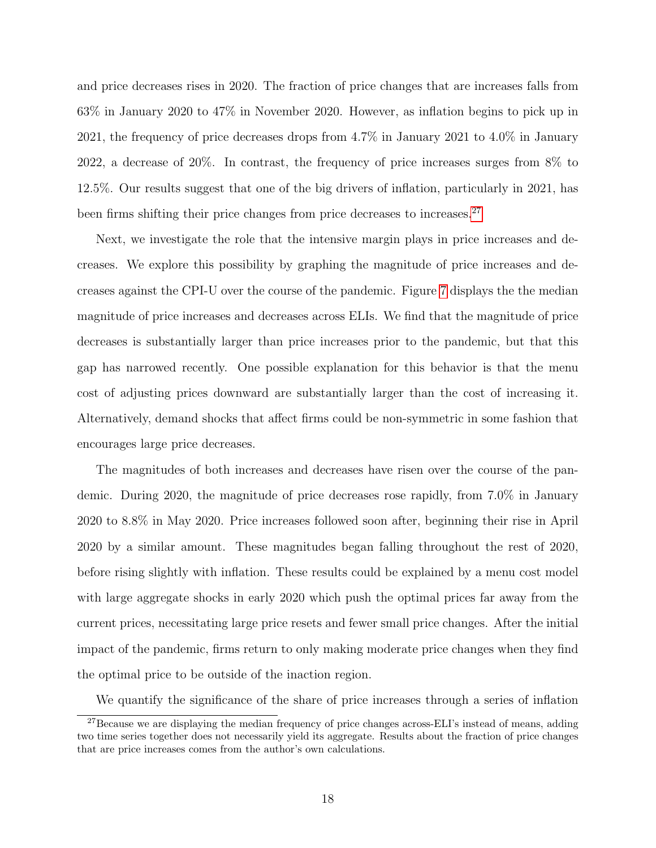and price decreases rises in 2020. The fraction of price changes that are increases falls from 63% in January 2020 to 47% in November 2020. However, as inflation begins to pick up in 2021, the frequency of price decreases drops from 4.7% in January 2021 to 4.0% in January 2022, a decrease of 20%. In contrast, the frequency of price increases surges from 8% to 12.5%. Our results suggest that one of the big drivers of inflation, particularly in 2021, has been firms shifting their price changes from price decreases to increases.<sup>[27](#page-18-0)</sup>

Next, we investigate the role that the intensive margin plays in price increases and decreases. We explore this possibility by graphing the magnitude of price increases and decreases against the CPI-U over the course of the pandemic. Figure [7](#page-35-0) displays the the median magnitude of price increases and decreases across ELIs. We find that the magnitude of price decreases is substantially larger than price increases prior to the pandemic, but that this gap has narrowed recently. One possible explanation for this behavior is that the menu cost of adjusting prices downward are substantially larger than the cost of increasing it. Alternatively, demand shocks that affect firms could be non-symmetric in some fashion that encourages large price decreases.

The magnitudes of both increases and decreases have risen over the course of the pandemic. During 2020, the magnitude of price decreases rose rapidly, from 7.0% in January 2020 to 8.8% in May 2020. Price increases followed soon after, beginning their rise in April 2020 by a similar amount. These magnitudes began falling throughout the rest of 2020, before rising slightly with inflation. These results could be explained by a menu cost model with large aggregate shocks in early 2020 which push the optimal prices far away from the current prices, necessitating large price resets and fewer small price changes. After the initial impact of the pandemic, firms return to only making moderate price changes when they find the optimal price to be outside of the inaction region.

<span id="page-18-0"></span>We quantify the significance of the share of price increases through a series of inflation

<sup>&</sup>lt;sup>27</sup>Because we are displaying the median frequency of price changes across-ELI's instead of means, adding two time series together does not necessarily yield its aggregate. Results about the fraction of price changes that are price increases comes from the author's own calculations.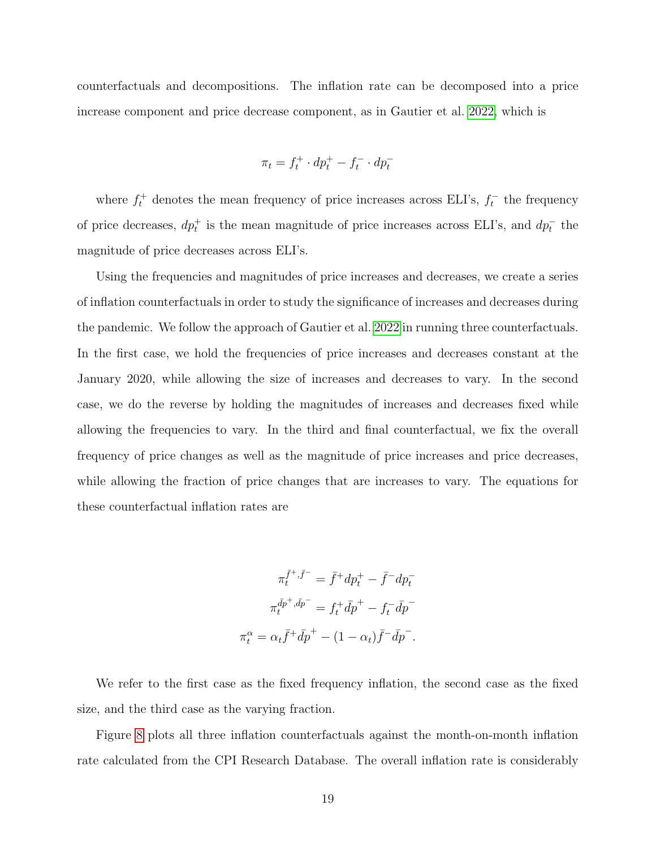counterfactuals and decompositions. The inflation rate can be decomposed into a price increase component and price decrease component, as in Gautier et al. [2022,](#page-23-3) which is

$$
\pi_t = f_t^+ \cdot dp_t^+ - f_t^- \cdot dp_t^-
$$

where  $f_t^+$  denotes the mean frequency of price increases across ELI's,  $f_t^-$  the frequency of price decreases,  $dp_t^+$  is the mean magnitude of price increases across ELI's, and  $dp_t^-$  the magnitude of price decreases across ELI's.

Using the frequencies and magnitudes of price increases and decreases, we create a series of inflation counterfactuals in order to study the significance of increases and decreases during the pandemic. We follow the approach of Gautier et al. [2022](#page-23-3) in running three counterfactuals. In the first case, we hold the frequencies of price increases and decreases constant at the January 2020, while allowing the size of increases and decreases to vary. In the second case, we do the reverse by holding the magnitudes of increases and decreases fixed while allowing the frequencies to vary. In the third and final counterfactual, we fix the overall frequency of price changes as well as the magnitude of price increases and price decreases, while allowing the fraction of price changes that are increases to vary. The equations for these counterfactual inflation rates are

$$
\pi_t^{\bar{f}^+, \bar{f}^-} = \bar{f}^+ dp_t^+ - \bar{f}^- dp_t^-
$$

$$
\pi_t^{\bar{d}p^+, \bar{d}p^-} = f_t^+ \bar{d}p^+ - f_t^- \bar{d}p^-
$$

$$
\pi_t^\alpha = \alpha_t \bar{f}^+ \bar{d}p^+ - (1 - \alpha_t) \bar{f}^- \bar{d}p^-.
$$

We refer to the first case as the fixed frequency inflation, the second case as the fixed size, and the third case as the varying fraction.

Figure [8](#page-36-0) plots all three inflation counterfactuals against the month-on-month inflation rate calculated from the CPI Research Database. The overall inflation rate is considerably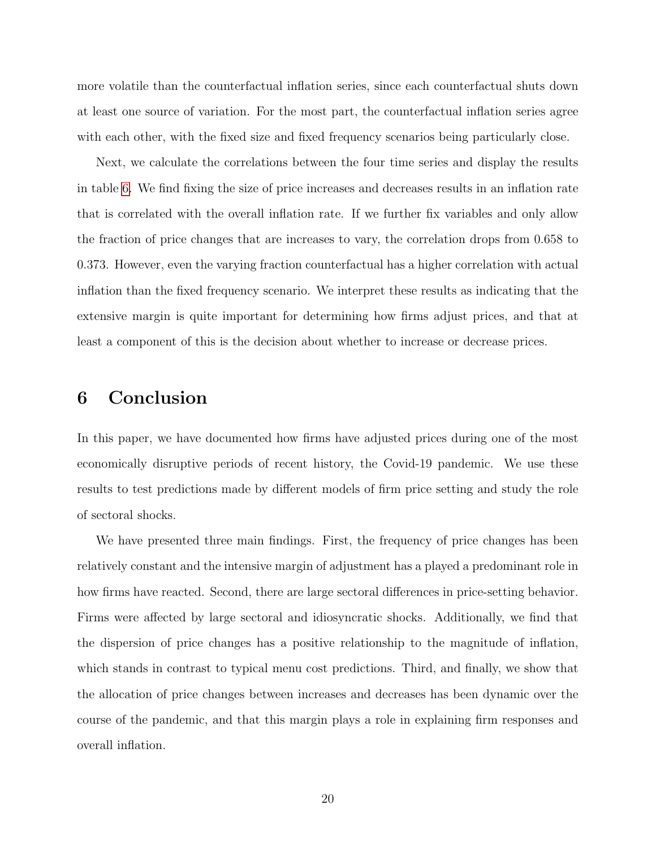more volatile than the counterfactual inflation series, since each counterfactual shuts down at least one source of variation. For the most part, the counterfactual inflation series agree with each other, with the fixed size and fixed frequency scenarios being particularly close.

Next, we calculate the correlations between the four time series and display the results in table [6.](#page-28-1) We find fixing the size of price increases and decreases results in an inflation rate that is correlated with the overall inflation rate. If we further fix variables and only allow the fraction of price changes that are increases to vary, the correlation drops from 0.658 to 0.373. However, even the varying fraction counterfactual has a higher correlation with actual inflation than the fixed frequency scenario. We interpret these results as indicating that the extensive margin is quite important for determining how firms adjust prices, and that at least a component of this is the decision about whether to increase or decrease prices.

### 6 Conclusion

In this paper, we have documented how firms have adjusted prices during one of the most economically disruptive periods of recent history, the Covid-19 pandemic. We use these results to test predictions made by different models of firm price setting and study the role of sectoral shocks.

We have presented three main findings. First, the frequency of price changes has been relatively constant and the intensive margin of adjustment has a played a predominant role in how firms have reacted. Second, there are large sectoral differences in price-setting behavior. Firms were affected by large sectoral and idiosyncratic shocks. Additionally, we find that the dispersion of price changes has a positive relationship to the magnitude of inflation, which stands in contrast to typical menu cost predictions. Third, and finally, we show that the allocation of price changes between increases and decreases has been dynamic over the course of the pandemic, and that this margin plays a role in explaining firm responses and overall inflation.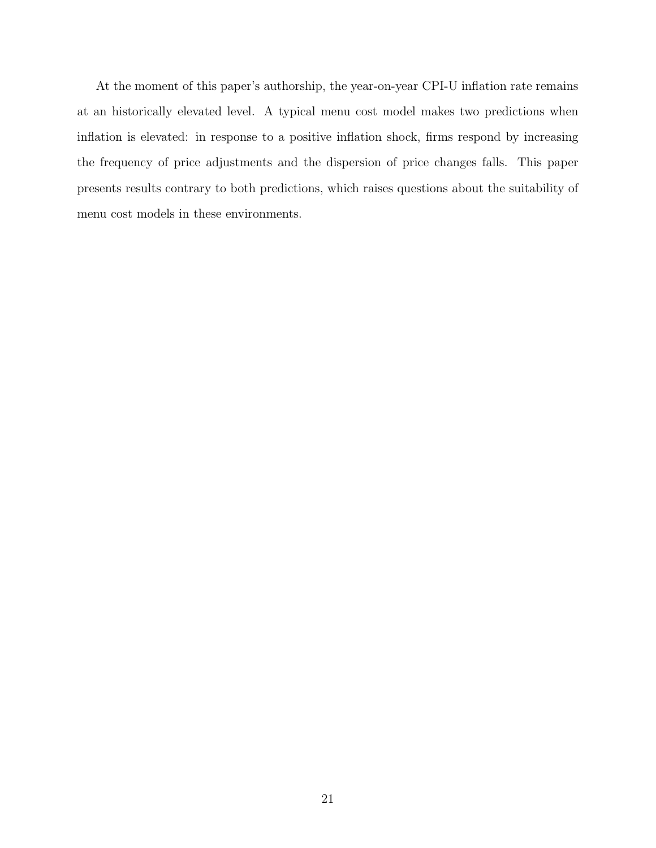At the moment of this paper's authorship, the year-on-year CPI-U inflation rate remains at an historically elevated level. A typical menu cost model makes two predictions when inflation is elevated: in response to a positive inflation shock, firms respond by increasing the frequency of price adjustments and the dispersion of price changes falls. This paper presents results contrary to both predictions, which raises questions about the suitability of menu cost models in these environments.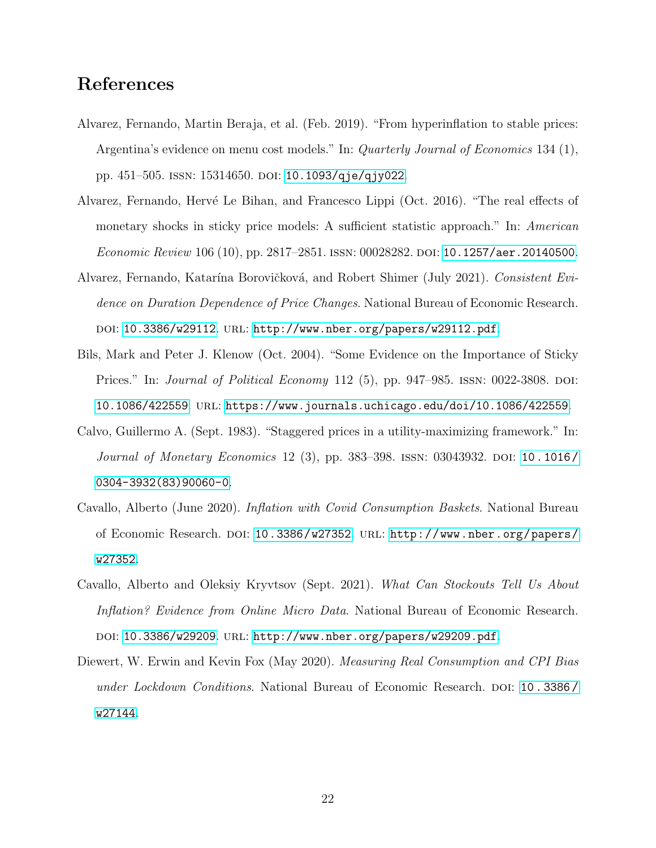## References

- <span id="page-22-1"></span>Alvarez, Fernando, Martin Beraja, et al. (Feb. 2019). "From hyperinflation to stable prices: Argentina's evidence on menu cost models." In: *Quarterly Journal of Economics* 134 (1), pp. 451–505. ISSN: 15314650. DOI: [10.1093/qje/qjy022](https://doi.org/10.1093/qje/qjy022).
- <span id="page-22-5"></span>Alvarez, Fernando, Hervé Le Bihan, and Francesco Lippi (Oct. 2016). "The real effects of monetary shocks in sticky price models: A sufficient statistic approach." In: American Economic Review 106 (10), pp. 2817-2851. ISSN: 00028282. DOI: [10.1257/aer.20140500](https://doi.org/10.1257/aer.20140500).
- <span id="page-22-7"></span>Alvarez, Fernando, Katarína Borovičková, and Robert Shimer (July 2021). Consistent Evidence on Duration Dependence of Price Changes. National Bureau of Economic Research. DOI: [10.3386/w29112](https://doi.org/10.3386/w29112). URL: <http://www.nber.org/papers/w29112.pdf>.
- <span id="page-22-0"></span>Bils, Mark and Peter J. Klenow (Oct. 2004). "Some Evidence on the Importance of Sticky Prices." In: *Journal of Political Economy* 112 (5), pp. 947–985. ISSN: 0022-3808. DOI: [10.1086/422559](https://doi.org/10.1086/422559). url: <https://www.journals.uchicago.edu/doi/10.1086/422559>.
- <span id="page-22-6"></span>Calvo, Guillermo A. (Sept. 1983). "Staggered prices in a utility-maximizing framework." In: Journal of Monetary Economics 12 (3), pp. 383–398. ISSN: 03043932. DOI: 10.1016/ [0304-3932\(83\)90060-0](https://doi.org/10.1016/0304-3932(83)90060-0).
- <span id="page-22-2"></span>Cavallo, Alberto (June 2020). Inflation with Covid Consumption Baskets. National Bureau of Economic Research. doi: [10.3386/w27352](https://doi.org/10.3386/w27352). url: [http://www.nber.org/papers/](http://www.nber.org/papers/w27352) [w27352](http://www.nber.org/papers/w27352).
- <span id="page-22-4"></span>Cavallo, Alberto and Oleksiy Kryvtsov (Sept. 2021). What Can Stockouts Tell Us About Inflation? Evidence from Online Micro Data. National Bureau of Economic Research. doi: [10.3386/w29209](https://doi.org/10.3386/w29209). url: <http://www.nber.org/papers/w29209.pdf>.
- <span id="page-22-3"></span>Diewert, W. Erwin and Kevin Fox (May 2020). *Measuring Real Consumption and CPI Bias* under Lockdown Conditions. National Bureau of Economic Research. DOI: 10.3386/ [w27144](https://doi.org/10.3386/w27144).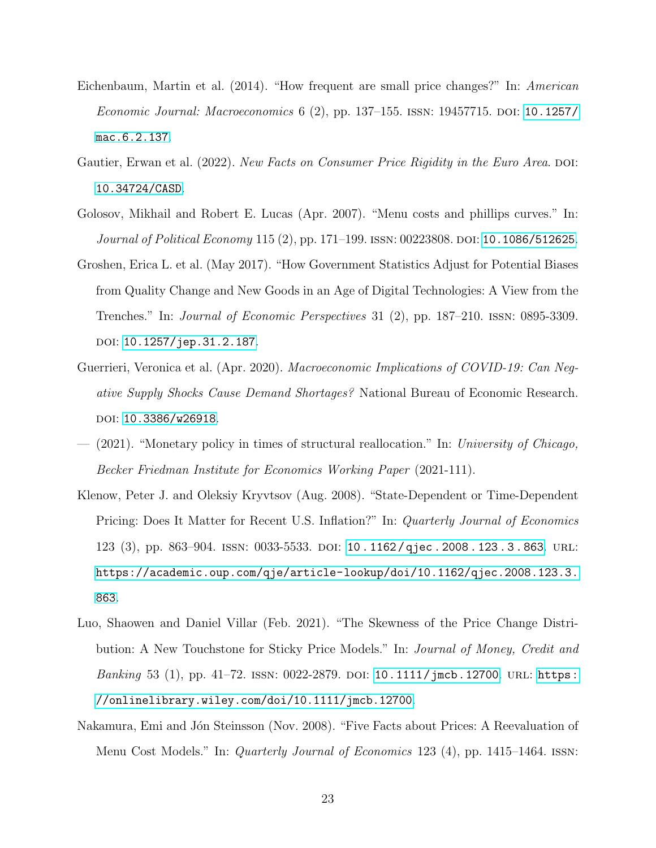- <span id="page-23-5"></span>Eichenbaum, Martin et al. (2014). "How frequent are small price changes?" In: American Economic Journal: Macroeconomics 6 (2), pp. 137–155. ISSN: 19457715. DOI: [10.1257/](https://doi.org/10.1257/mac.6.2.137) [mac.6.2.137](https://doi.org/10.1257/mac.6.2.137).
- <span id="page-23-3"></span>Gautier, Erwan et al. (2022). New Facts on Consumer Price Rigidity in the Euro Area. DOI: [10.34724/CASD](https://doi.org/10.34724/CASD).
- <span id="page-23-7"></span>Golosov, Mikhail and Robert E. Lucas (Apr. 2007). "Menu costs and phillips curves." In: Journal of Political Economy 115 (2), pp. 171–199. ISSN: 00223808. DOI: [10.1086/512625](https://doi.org/10.1086/512625).
- <span id="page-23-4"></span>Groshen, Erica L. et al. (May 2017). "How Government Statistics Adjust for Potential Biases from Quality Change and New Goods in an Age of Digital Technologies: A View from the Trenches." In: Journal of Economic Perspectives 31 (2), pp. 187–210. issn: 0895-3309. DOI: [10.1257/jep.31.2.187](https://doi.org/10.1257/jep.31.2.187).
- <span id="page-23-2"></span>Guerrieri, Veronica et al. (Apr. 2020). Macroeconomic Implications of COVID-19: Can Negative Supply Shocks Cause Demand Shortages? National Bureau of Economic Research. doi: [10.3386/w26918](https://doi.org/10.3386/w26918).
- <span id="page-23-8"></span> $(2021)$ . "Monetary policy in times of structural reallocation." In: University of Chicago, Becker Friedman Institute for Economics Working Paper (2021-111).
- <span id="page-23-0"></span>Klenow, Peter J. and Oleksiy Kryvtsov (Aug. 2008). "State-Dependent or Time-Dependent Pricing: Does It Matter for Recent U.S. Inflation?" In: Quarterly Journal of Economics 123 (3), pp. 863–904. issn: 0033-5533. doi: [10 . 1162 / qjec . 2008 . 123 . 3 . 863](https://doi.org/10.1162/qjec.2008.123.3.863). url: [https://academic.oup.com/qje/article-lookup/doi/10.1162/qjec.2008.123.3.](https://academic.oup.com/qje/article-lookup/doi/10.1162/qjec.2008.123.3.863) [863](https://academic.oup.com/qje/article-lookup/doi/10.1162/qjec.2008.123.3.863).
- <span id="page-23-6"></span>Luo, Shaowen and Daniel Villar (Feb. 2021). "The Skewness of the Price Change Distribution: A New Touchstone for Sticky Price Models." In: Journal of Money, Credit and *Banking* 53 (1), pp. 41–72. ISSN: 0022-2879. DOI: [10.1111/jmcb.12700](https://doi.org/10.1111/jmcb.12700). URL: [https:](https://onlinelibrary.wiley.com/doi/10.1111/jmcb.12700) [//onlinelibrary.wiley.com/doi/10.1111/jmcb.12700](https://onlinelibrary.wiley.com/doi/10.1111/jmcb.12700).
- <span id="page-23-1"></span>Nakamura, Emi and Jón Steinsson (Nov. 2008). "Five Facts about Prices: A Reevaluation of Menu Cost Models." In: *Quarterly Journal of Economics* 123 (4), pp. 1415–1464. ISSN: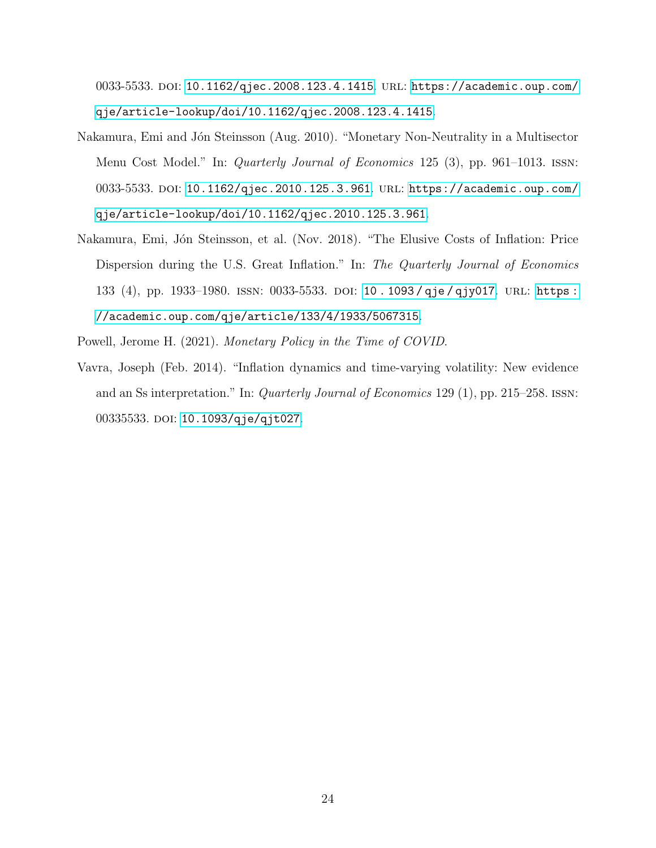0033-5533. DOI: [10.1162/qjec.2008.123.4.1415](https://doi.org/10.1162/qjec.2008.123.4.1415). URL: [https://academic.oup.com/](https://academic.oup.com/qje/article-lookup/doi/10.1162/qjec.2008.123.4.1415) [qje/article-lookup/doi/10.1162/qjec.2008.123.4.1415](https://academic.oup.com/qje/article-lookup/doi/10.1162/qjec.2008.123.4.1415).

- <span id="page-24-3"></span>Nakamura, Emi and Jón Steinsson (Aug. 2010). "Monetary Non-Neutrality in a Multisector Menu Cost Model." In: *Quarterly Journal of Economics* 125 (3), pp. 961–1013. ISSN: 0033-5533. DOI: [10.1162/qjec.2010.125.3.961](https://doi.org/10.1162/qjec.2010.125.3.961). URL: [https://academic.oup.com/](https://academic.oup.com/qje/article-lookup/doi/10.1162/qjec.2010.125.3.961) [qje/article-lookup/doi/10.1162/qjec.2010.125.3.961](https://academic.oup.com/qje/article-lookup/doi/10.1162/qjec.2010.125.3.961).
- <span id="page-24-0"></span>Nakamura, Emi, Jón Steinsson, et al. (Nov. 2018). "The Elusive Costs of Inflation: Price Dispersion during the U.S. Great Inflation." In: The Quarterly Journal of Economics 133 (4), pp. 1933–1980. issn: 0033-5533. doi: [10 . 1093 / qje / qjy017](https://doi.org/10.1093/qje/qjy017). url: [https :](https://academic.oup.com/qje/article/133/4/1933/5067315) [//academic.oup.com/qje/article/133/4/1933/5067315](https://academic.oup.com/qje/article/133/4/1933/5067315).

<span id="page-24-2"></span><span id="page-24-1"></span>Powell, Jerome H. (2021). Monetary Policy in the Time of COVID.

Vavra, Joseph (Feb. 2014). "Inflation dynamics and time-varying volatility: New evidence and an Ss interpretation." In: Quarterly Journal of Economics 129 (1), pp. 215–258. issn: 00335533. DOI: [10.1093/qje/qjt027](https://doi.org/10.1093/qje/qjt027).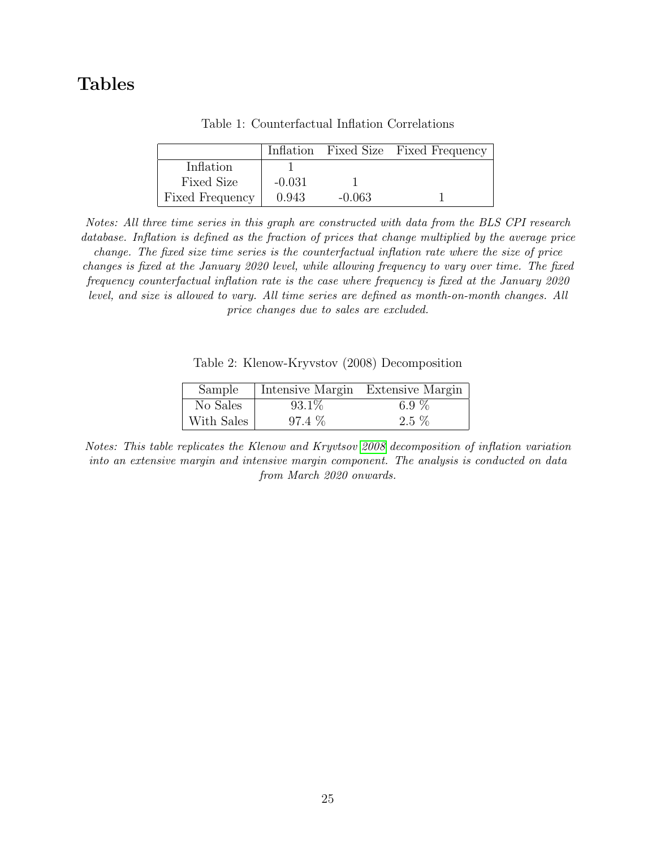# <span id="page-25-0"></span>Tables

|                        |          |          | Inflation Fixed Size Fixed Frequency |
|------------------------|----------|----------|--------------------------------------|
| Inflation              |          |          |                                      |
| <b>Fixed Size</b>      | $-0.031$ |          |                                      |
| <b>Fixed Frequency</b> | 0.943    | $-0.063$ |                                      |

Table 1: Counterfactual Inflation Correlations

Notes: All three time series in this graph are constructed with data from the BLS CPI research database. Inflation is defined as the fraction of prices that change multiplied by the average price change. The fixed size time series is the counterfactual inflation rate where the size of price changes is fixed at the January 2020 level, while allowing frequency to vary over time. The fixed frequency counterfactual inflation rate is the case where frequency is fixed at the January 2020 level, and size is allowed to vary. All time series are defined as month-on-month changes. All price changes due to sales are excluded.

Table 2: Klenow-Kryvstov (2008) Decomposition

| Sample     |          | Intensive Margin Extensive Margin |
|------------|----------|-----------------------------------|
| No Sales   | $93.1\%$ | 6.9 $%$                           |
| With Sales | $97.4\%$ | $2.5\%$                           |

<span id="page-25-1"></span>Notes: This table replicates the Klenow and Kryvtsov [2008](#page-23-0) decomposition of inflation variation into an extensive margin and intensive margin component. The analysis is conducted on data from March 2020 onwards.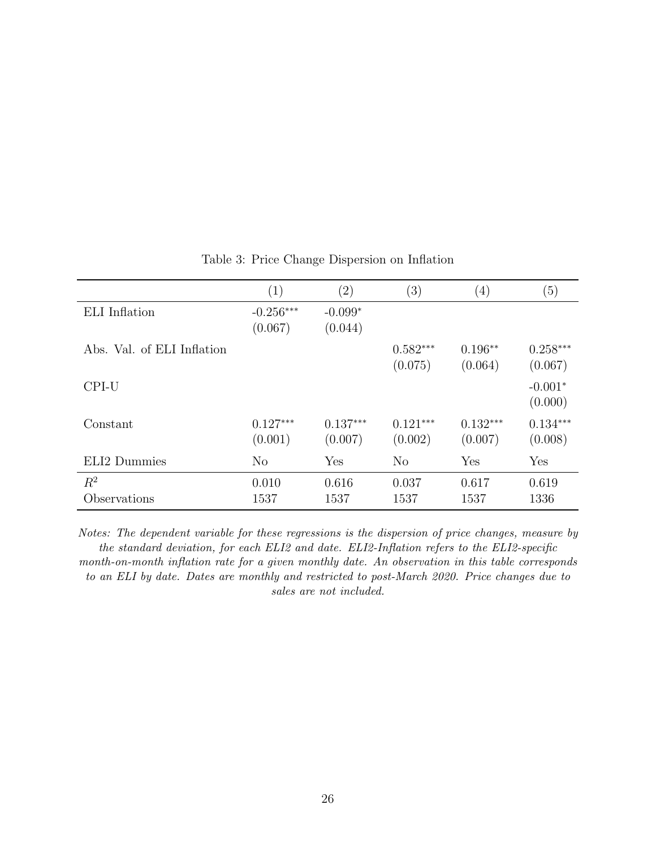<span id="page-26-0"></span>

|                            | $\left( 1\right)$      | $\left( 2\right)$     | (3)                   | $\left(4\right)$      | (5)                   |
|----------------------------|------------------------|-----------------------|-----------------------|-----------------------|-----------------------|
| ELI Inflation              | $-0.256***$<br>(0.067) | $-0.099*$<br>(0.044)  |                       |                       |                       |
| Abs. Val. of ELI Inflation |                        |                       | $0.582***$<br>(0.075) | $0.196**$<br>(0.064)  | $0.258***$<br>(0.067) |
| CPI-U                      |                        |                       |                       |                       | $-0.001*$<br>(0.000)  |
| Constant                   | $0.127***$<br>(0.001)  | $0.137***$<br>(0.007) | $0.121***$<br>(0.002) | $0.132***$<br>(0.007) | $0.134***$<br>(0.008) |
| ELI2 Dummies               | N <sub>o</sub>         | Yes                   | $\rm No$              | Yes                   | Yes                   |
| $R^2$<br>Observations      | 0.010<br>1537          | 0.616<br>1537         | 0.037<br>1537         | 0.617<br>1537         | 0.619<br>1336         |

Table 3: Price Change Dispersion on Inflation

Notes: The dependent variable for these regressions is the dispersion of price changes, measure by the standard deviation, for each ELI2 and date. ELI2-Inflation refers to the ELI2-specific month-on-month inflation rate for a given monthly date. An observation in this table corresponds to an ELI by date. Dates are monthly and restricted to post-March 2020. Price changes due to sales are not included.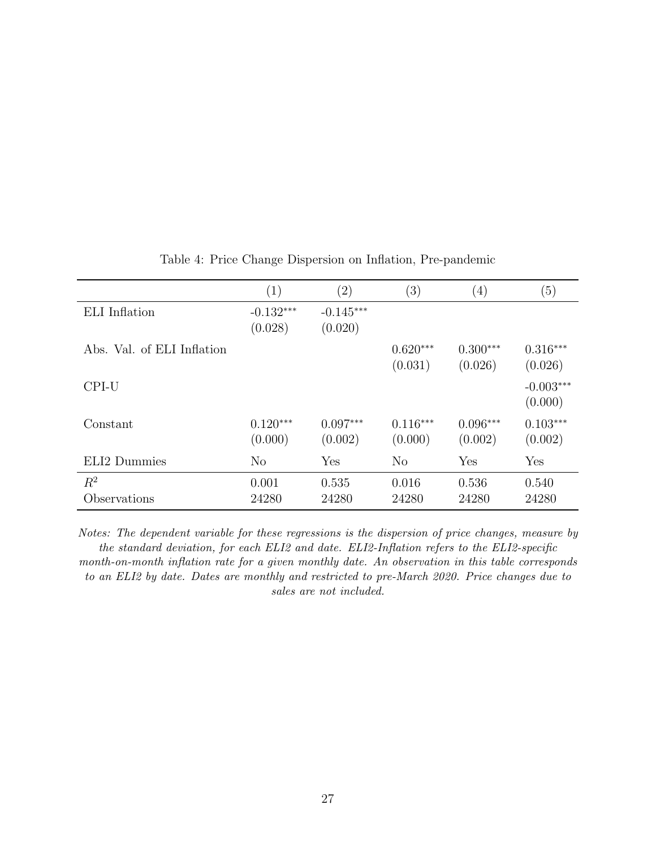<span id="page-27-0"></span>

|                            | (1)                    | $\left( 2\right)$      | (3)                   | $\left( 4\right)$     | (5)                    |
|----------------------------|------------------------|------------------------|-----------------------|-----------------------|------------------------|
| ELI Inflation              | $-0.132***$<br>(0.028) | $-0.145***$<br>(0.020) |                       |                       |                        |
| Abs. Val. of ELI Inflation |                        |                        | $0.620***$<br>(0.031) | $0.300***$<br>(0.026) | $0.316***$<br>(0.026)  |
| CPI-U                      |                        |                        |                       |                       | $-0.003***$<br>(0.000) |
| Constant                   | $0.120***$<br>(0.000)  | $0.097***$<br>(0.002)  | $0.116***$<br>(0.000) | $0.096***$<br>(0.002) | $0.103***$<br>(0.002)  |
| ELI2 Dummies               | N <sub>o</sub>         | Yes                    | N <sub>o</sub>        | Yes                   | Yes                    |
| $R^2$<br>Observations      | 0.001<br>24280         | 0.535<br>24280         | 0.016<br>24280        | 0.536<br>24280        | 0.540<br>24280         |

Table 4: Price Change Dispersion on Inflation, Pre-pandemic

Notes: The dependent variable for these regressions is the dispersion of price changes, measure by the standard deviation, for each ELI2 and date. ELI2-Inflation refers to the ELI2-specific month-on-month inflation rate for a given monthly date. An observation in this table corresponds to an ELI2 by date. Dates are monthly and restricted to pre-March 2020. Price changes due to sales are not included.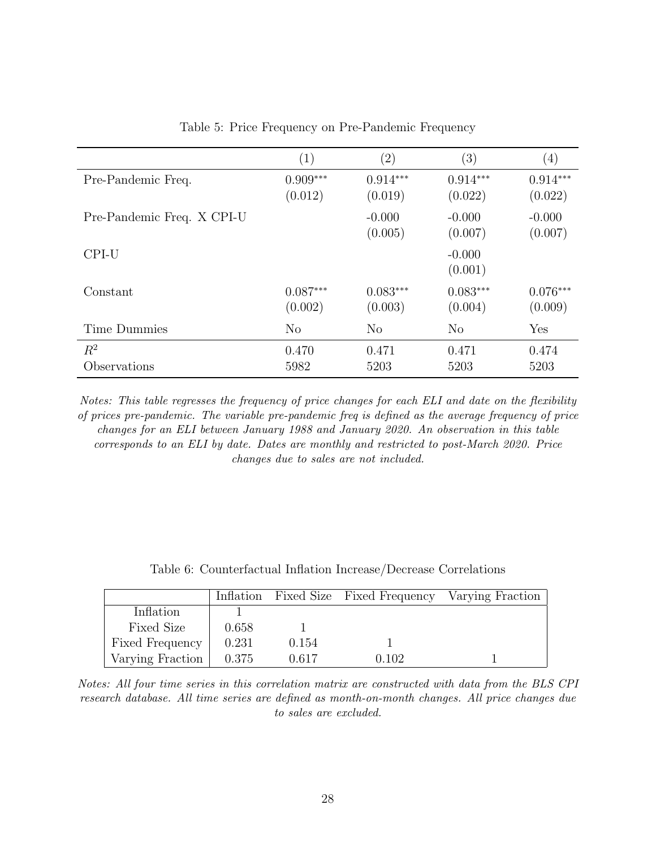<span id="page-28-0"></span>

|                            | $\left( 1\right)$     | $\left( 2\right)$     | (3)                   | $\left( 4\right)$     |
|----------------------------|-----------------------|-----------------------|-----------------------|-----------------------|
| Pre-Pandemic Freq.         | $0.909***$<br>(0.012) | $0.914***$<br>(0.019) | $0.914***$<br>(0.022) | $0.914***$<br>(0.022) |
| Pre-Pandemic Freq. X CPI-U |                       | $-0.000$<br>(0.005)   | $-0.000$<br>(0.007)   | $-0.000$<br>(0.007)   |
| CPI-U                      |                       |                       | $-0.000$<br>(0.001)   |                       |
| Constant                   | $0.087***$<br>(0.002) | $0.083***$<br>(0.003) | $0.083***$<br>(0.004) | $0.076***$<br>(0.009) |
| Time Dummies               | $\rm No$              | $\rm No$              | $\rm No$              | Yes                   |
| $R^2$<br>Observations      | 0.470<br>5982         | 0.471<br>5203         | 0.471<br>5203         | 0.474<br>5203         |

Table 5: Price Frequency on Pre-Pandemic Frequency

Notes: This table regresses the frequency of price changes for each ELI and date on the flexibility of prices pre-pandemic. The variable pre-pandemic freq is defined as the average frequency of price changes for an ELI between January 1988 and January 2020. An observation in this table corresponds to an ELI by date. Dates are monthly and restricted to post-March 2020. Price changes due to sales are not included.

<span id="page-28-1"></span>

|                   |       |       | Inflation Fixed Size Fixed Frequency Varying Fraction |  |
|-------------------|-------|-------|-------------------------------------------------------|--|
| Inflation         |       |       |                                                       |  |
| <b>Fixed Size</b> | 0.658 |       |                                                       |  |
| Fixed Frequency   | 0.231 | 0.154 |                                                       |  |
| Varying Fraction  | 0.375 | 0.617 | 0.102                                                 |  |

Notes: All four time series in this correlation matrix are constructed with data from the BLS CPI research database. All time series are defined as month-on-month changes. All price changes due to sales are excluded.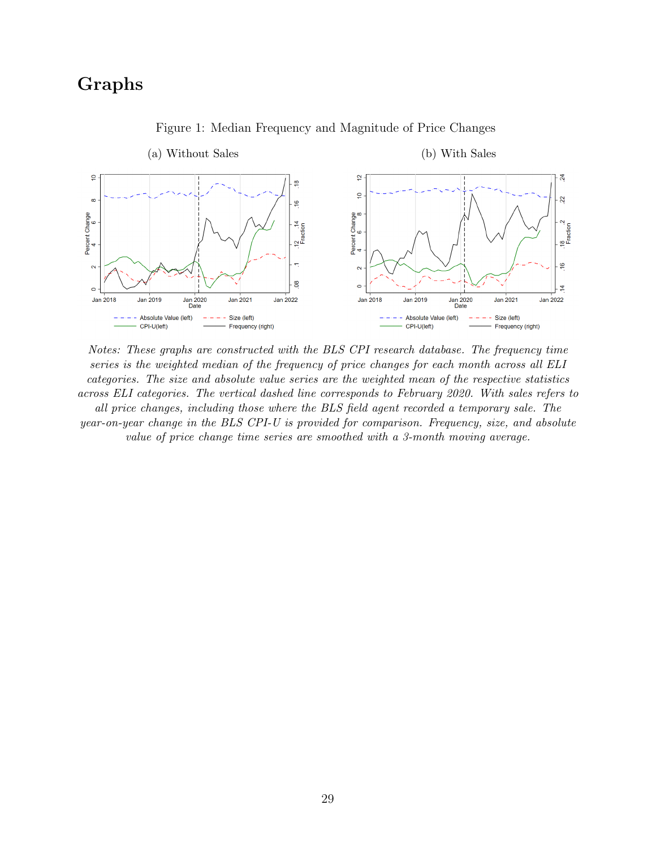# Graphs

<span id="page-29-0"></span>

Figure 1: Median Frequency and Magnitude of Price Changes

Notes: These graphs are constructed with the BLS CPI research database. The frequency time series is the weighted median of the frequency of price changes for each month across all ELI categories. The size and absolute value series are the weighted mean of the respective statistics across ELI categories. The vertical dashed line corresponds to February 2020. With sales refers to all price changes, including those where the BLS field agent recorded a temporary sale. The year-on-year change in the BLS CPI-U is provided for comparison. Frequency, size, and absolute value of price change time series are smoothed with a 3-month moving average.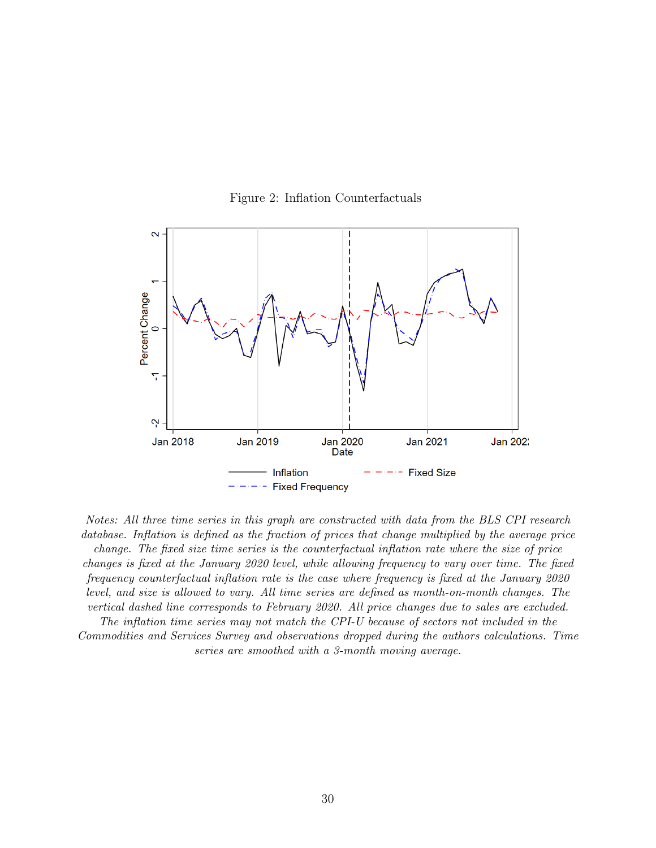<span id="page-30-0"></span>

Figure 2: Inflation Counterfactuals

Notes: All three time series in this graph are constructed with data from the BLS CPI research database. Inflation is defined as the fraction of prices that change multiplied by the average price change. The fixed size time series is the counterfactual inflation rate where the size of price changes is fixed at the January 2020 level, while allowing frequency to vary over time. The fixed frequency counterfactual inflation rate is the case where frequency is fixed at the January 2020 level, and size is allowed to vary. All time series are defined as month-on-month changes. The vertical dashed line corresponds to February 2020. All price changes due to sales are excluded. The inflation time series may not match the CPI-U because of sectors not included in the Commodities and Services Survey and observations dropped during the authors calculations. Time series are smoothed with a 3-month moving average.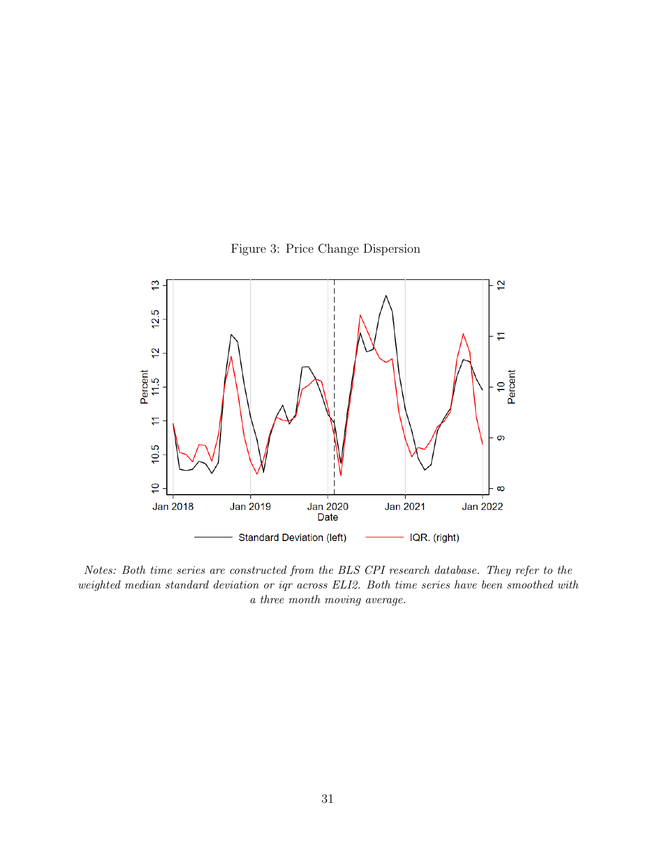Figure 3: Price Change Dispersion

<span id="page-31-0"></span>

Notes: Both time series are constructed from the BLS CPI research database. They refer to the weighted median standard deviation or iqr across ELI2. Both time series have been smoothed with a three month moving average.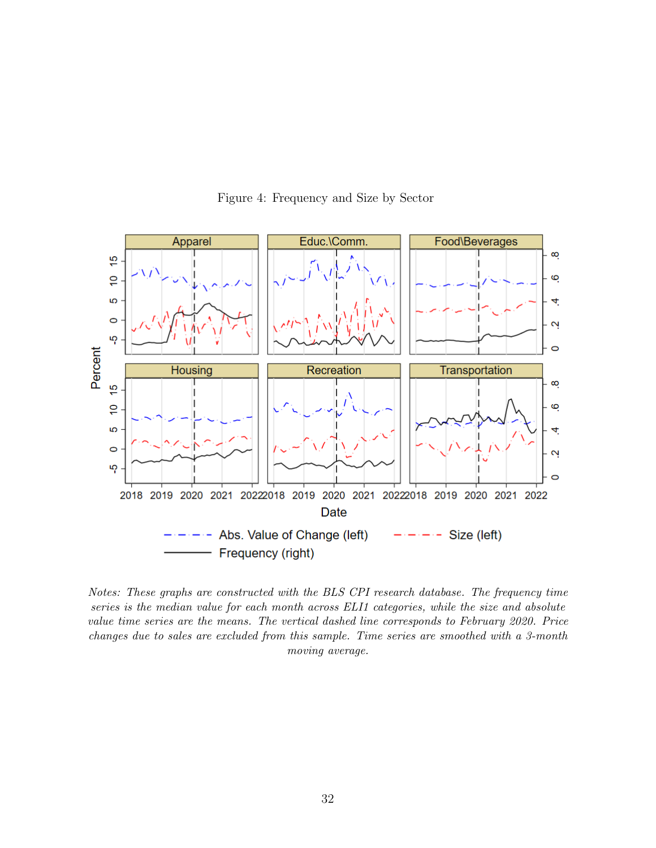<span id="page-32-0"></span>

Figure 4: Frequency and Size by Sector

Notes: These graphs are constructed with the BLS CPI research database. The frequency time series is the median value for each month across ELI1 categories, while the size and absolute value time series are the means. The vertical dashed line corresponds to February 2020. Price changes due to sales are excluded from this sample. Time series are smoothed with a 3-month moving average.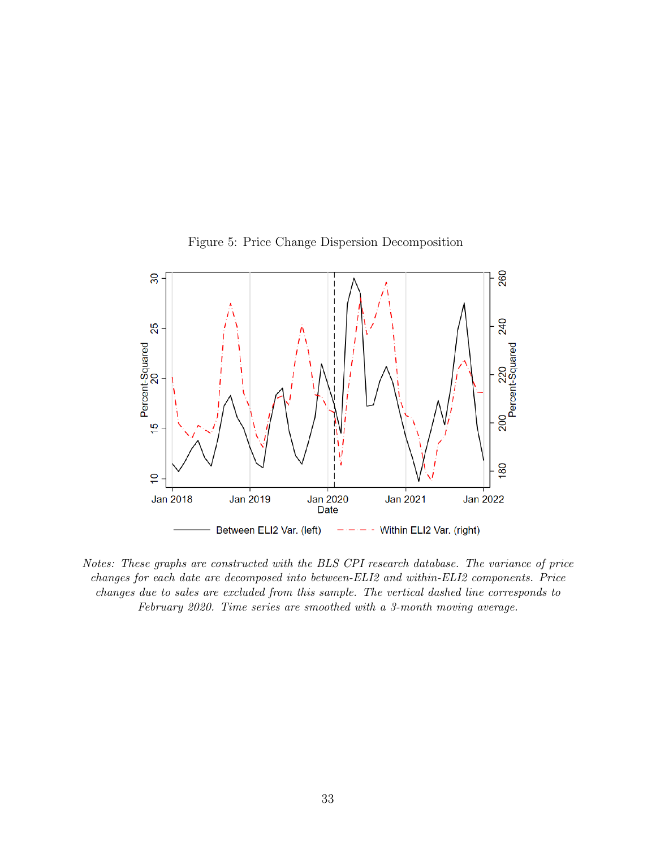<span id="page-33-0"></span>

Figure 5: Price Change Dispersion Decomposition

Notes: These graphs are constructed with the BLS CPI research database. The variance of price changes for each date are decomposed into between-ELI2 and within-ELI2 components. Price changes due to sales are excluded from this sample. The vertical dashed line corresponds to February 2020. Time series are smoothed with a 3-month moving average.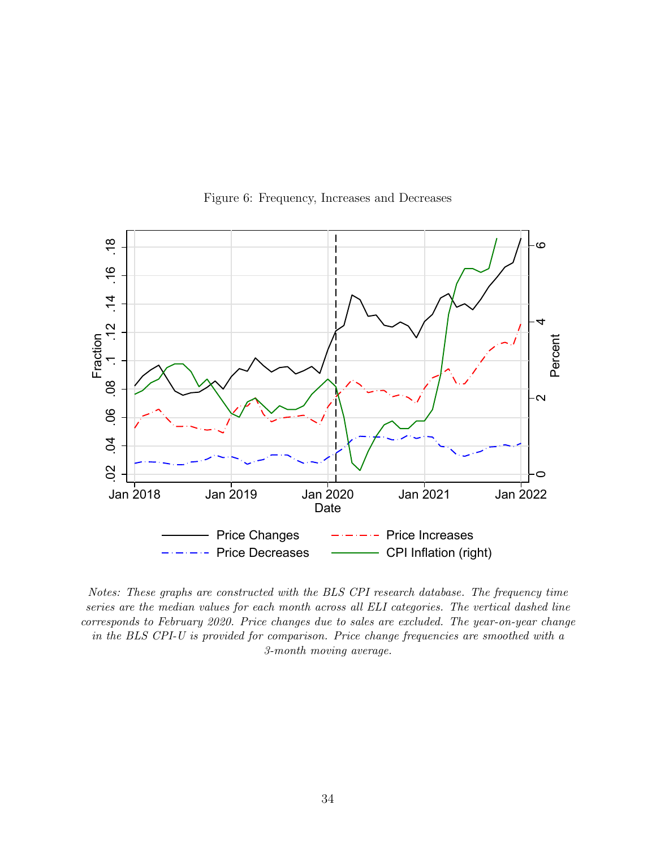<span id="page-34-0"></span>

Figure 6: Frequency, Increases and Decreases

Notes: These graphs are constructed with the BLS CPI research database. The frequency time series are the median values for each month across all ELI categories. The vertical dashed line corresponds to February 2020. Price changes due to sales are excluded. The year-on-year change in the BLS CPI-U is provided for comparison. Price change frequencies are smoothed with a 3-month moving average.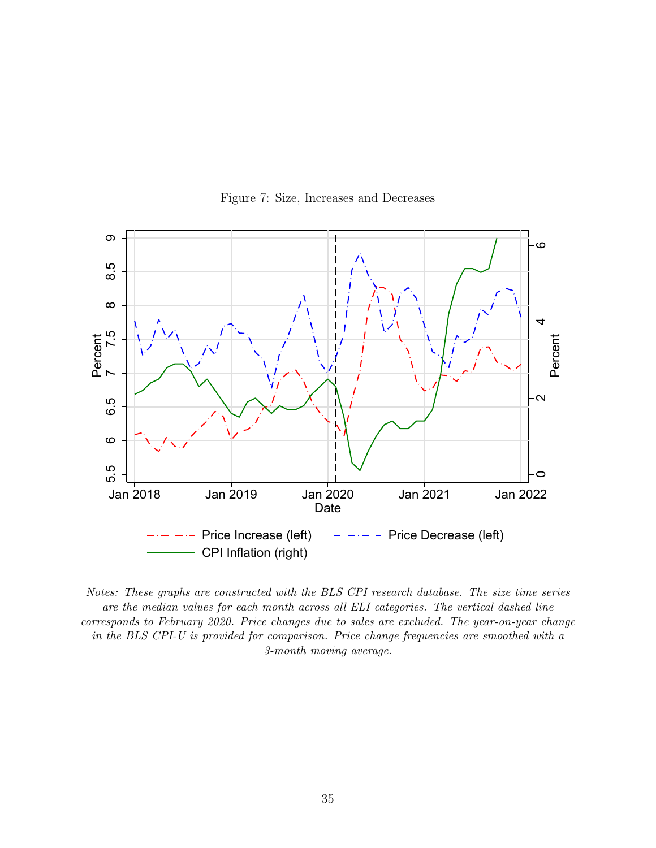<span id="page-35-0"></span>

Figure 7: Size, Increases and Decreases

Notes: These graphs are constructed with the BLS CPI research database. The size time series are the median values for each month across all ELI categories. The vertical dashed line corresponds to February 2020. Price changes due to sales are excluded. The year-on-year change in the BLS CPI-U is provided for comparison. Price change frequencies are smoothed with a 3-month moving average.